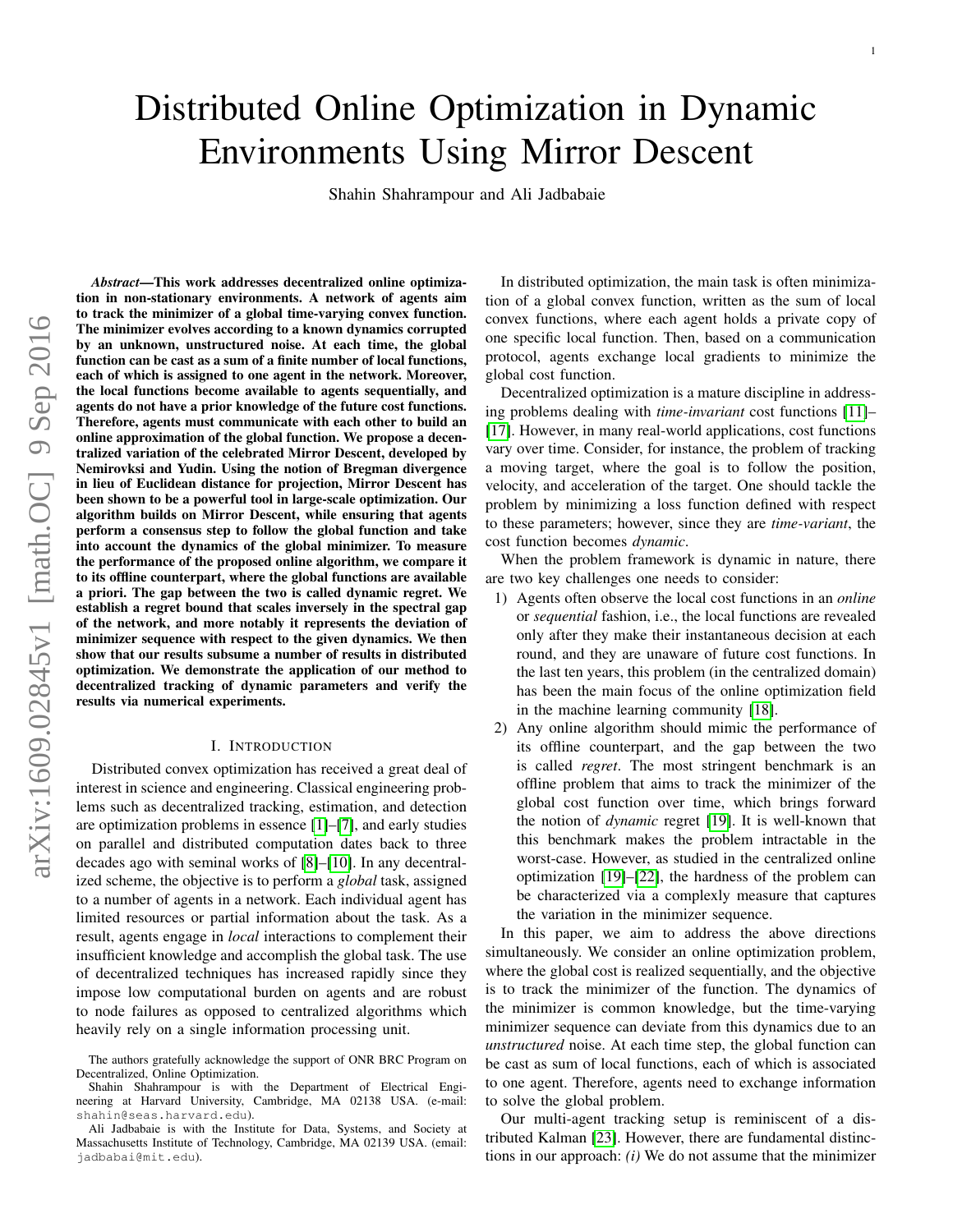# Distributed Online Optimization in Dynamic Environments Using Mirror Descent

Shahin Shahrampour and Ali Jadbabaie

*Abstract*—This work addresses decentralized online optimization in non-stationary environments. A network of agents aim to track the minimizer of a global time-varying convex function. The minimizer evolves according to a known dynamics corrupted by an unknown, unstructured noise. At each time, the global function can be cast as a sum of a finite number of local functions, each of which is assigned to one agent in the network. Moreover, the local functions become available to agents sequentially, and agents do not have a prior knowledge of the future cost functions. Therefore, agents must communicate with each other to build an online approximation of the global function. We propose a decentralized variation of the celebrated Mirror Descent, developed by Nemirovksi and Yudin. Using the notion of Bregman divergence in lieu of Euclidean distance for projection, Mirror Descent has been shown to be a powerful tool in large-scale optimization. Our algorithm builds on Mirror Descent, while ensuring that agents perform a consensus step to follow the global function and take into account the dynamics of the global minimizer. To measure the performance of the proposed online algorithm, we compare it to its offline counterpart, where the global functions are available a priori. The gap between the two is called dynamic regret. We establish a regret bound that scales inversely in the spectral gap of the network, and more notably it represents the deviation of minimizer sequence with respect to the given dynamics. We then show that our results subsume a number of results in distributed optimization. We demonstrate the application of our method to decentralized tracking of dynamic parameters and verify the results via numerical experiments.

#### I. INTRODUCTION

Distributed convex optimization has received a great deal of interest in science and engineering. Classical engineering problems such as decentralized tracking, estimation, and detection are optimization problems in essence [\[1\]](#page-11-0)–[\[7\]](#page-11-1), and early studies on parallel and distributed computation dates back to three decades ago with seminal works of [\[8\]](#page-11-2)–[\[10\]](#page-11-3). In any decentralized scheme, the objective is to perform a *global* task, assigned to a number of agents in a network. Each individual agent has limited resources or partial information about the task. As a result, agents engage in *local* interactions to complement their insufficient knowledge and accomplish the global task. The use of decentralized techniques has increased rapidly since they impose low computational burden on agents and are robust to node failures as opposed to centralized algorithms which heavily rely on a single information processing unit.

In distributed optimization, the main task is often minimization of a global convex function, written as the sum of local convex functions, where each agent holds a private copy of one specific local function. Then, based on a communication protocol, agents exchange local gradients to minimize the global cost function.

Decentralized optimization is a mature discipline in addressing problems dealing with *time-invariant* cost functions [\[11\]](#page-11-4)– [\[17\]](#page-11-5). However, in many real-world applications, cost functions vary over time. Consider, for instance, the problem of tracking a moving target, where the goal is to follow the position, velocity, and acceleration of the target. One should tackle the problem by minimizing a loss function defined with respect to these parameters; however, since they are *time-variant*, the cost function becomes *dynamic*.

When the problem framework is dynamic in nature, there are two key challenges one needs to consider:

- 1) Agents often observe the local cost functions in an *online* or *sequential* fashion, i.e., the local functions are revealed only after they make their instantaneous decision at each round, and they are unaware of future cost functions. In the last ten years, this problem (in the centralized domain) has been the main focus of the online optimization field in the machine learning community [\[18\]](#page-11-6).
- 2) Any online algorithm should mimic the performance of its offline counterpart, and the gap between the two is called *regret*. The most stringent benchmark is an offline problem that aims to track the minimizer of the global cost function over time, which brings forward the notion of *dynamic* regret [\[19\]](#page-11-7). It is well-known that this benchmark makes the problem intractable in the worst-case. However, as studied in the centralized online optimization [\[19\]](#page-11-7)–[\[22\]](#page-11-8), the hardness of the problem can be characterized via a complexly measure that captures the variation in the minimizer sequence.

In this paper, we aim to address the above directions simultaneously. We consider an online optimization problem, where the global cost is realized sequentially, and the objective is to track the minimizer of the function. The dynamics of the minimizer is common knowledge, but the time-varying minimizer sequence can deviate from this dynamics due to an *unstructured* noise. At each time step, the global function can be cast as sum of local functions, each of which is associated to one agent. Therefore, agents need to exchange information to solve the global problem.

Our multi-agent tracking setup is reminiscent of a distributed Kalman [\[23\]](#page-11-9). However, there are fundamental distinctions in our approach: *(i)* We do not assume that the minimizer

The authors gratefully acknowledge the support of ONR BRC Program on Decentralized, Online Optimization.

Shahin Shahrampour is with the Department of Electrical Engineering at Harvard University, Cambridge, MA 02138 USA. (e-mail: shahin@seas.harvard.edu).

Ali Jadbabaie is with the Institute for Data, Systems, and Society at Massachusetts Institute of Technology, Cambridge, MA 02139 USA. (email: jadbabai@mit.edu).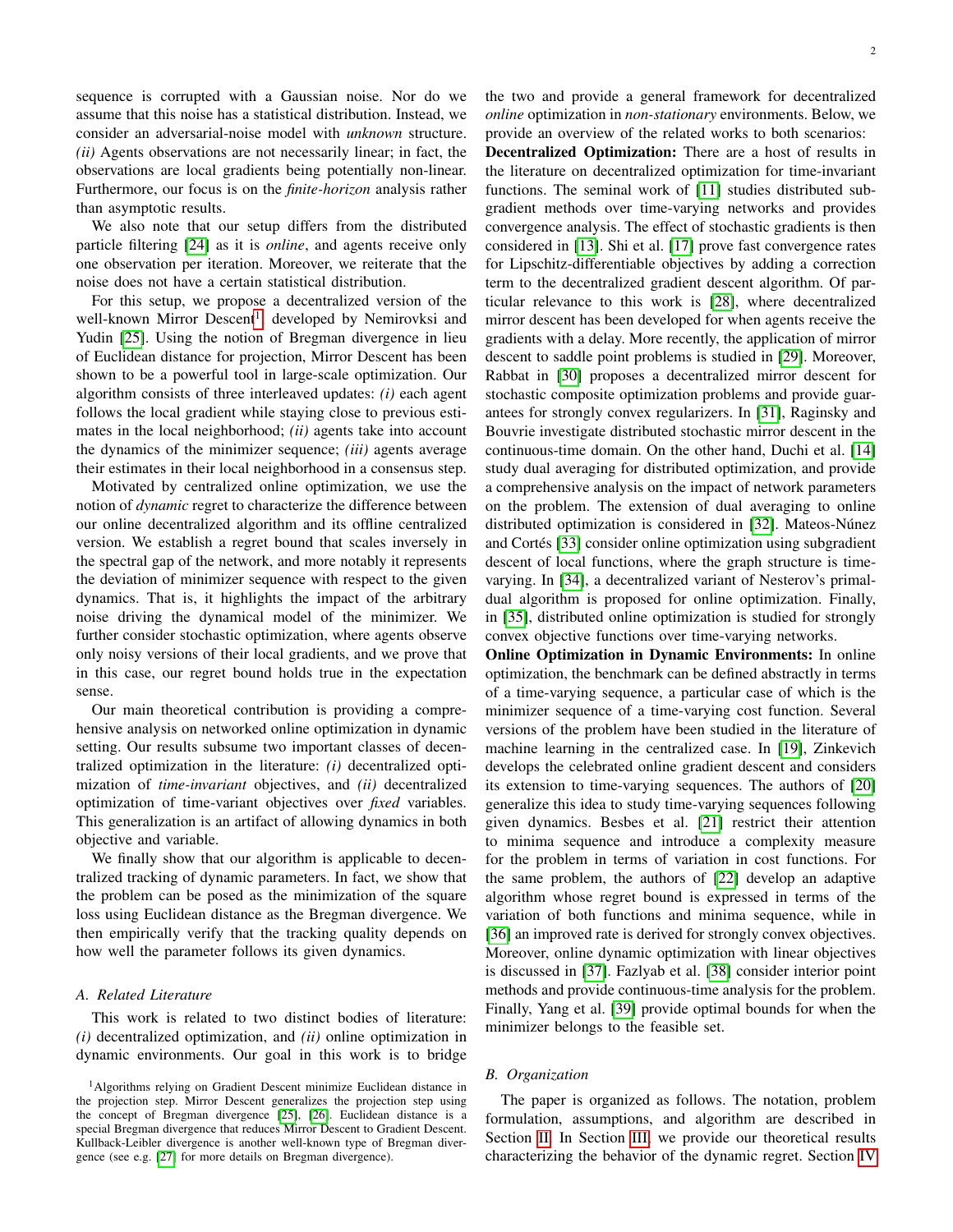sequence is corrupted with a Gaussian noise. Nor do we assume that this noise has a statistical distribution. Instead, we consider an adversarial-noise model with *unknown* structure. *(ii)* Agents observations are not necessarily linear; in fact, the observations are local gradients being potentially non-linear. Furthermore, our focus is on the *finite-horizon* analysis rather than asymptotic results.

We also note that our setup differs from the distributed particle filtering [\[24\]](#page-11-10) as it is *online*, and agents receive only one observation per iteration. Moreover, we reiterate that the noise does not have a certain statistical distribution.

For this setup, we propose a decentralized version of the well-known Mirror Descent<sup>[1](#page-1-0)</sup>, developed by Nemirovksi and Yudin [\[25\]](#page-11-11). Using the notion of Bregman divergence in lieu of Euclidean distance for projection, Mirror Descent has been shown to be a powerful tool in large-scale optimization. Our algorithm consists of three interleaved updates: *(i)* each agent follows the local gradient while staying close to previous estimates in the local neighborhood; *(ii)* agents take into account the dynamics of the minimizer sequence; *(iii)* agents average their estimates in their local neighborhood in a consensus step.

Motivated by centralized online optimization, we use the notion of *dynamic* regret to characterize the difference between our online decentralized algorithm and its offline centralized version. We establish a regret bound that scales inversely in the spectral gap of the network, and more notably it represents the deviation of minimizer sequence with respect to the given dynamics. That is, it highlights the impact of the arbitrary noise driving the dynamical model of the minimizer. We further consider stochastic optimization, where agents observe only noisy versions of their local gradients, and we prove that in this case, our regret bound holds true in the expectation sense.

Our main theoretical contribution is providing a comprehensive analysis on networked online optimization in dynamic setting. Our results subsume two important classes of decentralized optimization in the literature: *(i)* decentralized optimization of *time-invariant* objectives, and *(ii)* decentralized optimization of time-variant objectives over *fixed* variables. This generalization is an artifact of allowing dynamics in both objective and variable.

We finally show that our algorithm is applicable to decentralized tracking of dynamic parameters. In fact, we show that the problem can be posed as the minimization of the square loss using Euclidean distance as the Bregman divergence. We then empirically verify that the tracking quality depends on how well the parameter follows its given dynamics.

# *A. Related Literature*

This work is related to two distinct bodies of literature: *(i)* decentralized optimization, and *(ii)* online optimization in dynamic environments. Our goal in this work is to bridge the two and provide a general framework for decentralized *online* optimization in *non-stationary* environments. Below, we provide an overview of the related works to both scenarios:

Decentralized Optimization: There are a host of results in the literature on decentralized optimization for time-invariant functions. The seminal work of [\[11\]](#page-11-4) studies distributed subgradient methods over time-varying networks and provides convergence analysis. The effect of stochastic gradients is then considered in [\[13\]](#page-11-14). Shi et al. [\[17\]](#page-11-5) prove fast convergence rates for Lipschitz-differentiable objectives by adding a correction term to the decentralized gradient descent algorithm. Of particular relevance to this work is [\[28\]](#page-11-15), where decentralized mirror descent has been developed for when agents receive the gradients with a delay. More recently, the application of mirror descent to saddle point problems is studied in [\[29\]](#page-11-16). Moreover, Rabbat in [\[30\]](#page-11-17) proposes a decentralized mirror descent for stochastic composite optimization problems and provide guarantees for strongly convex regularizers. In [\[31\]](#page-11-18), Raginsky and Bouvrie investigate distributed stochastic mirror descent in the continuous-time domain. On the other hand, Duchi et al. [\[14\]](#page-11-19) study dual averaging for distributed optimization, and provide a comprehensive analysis on the impact of network parameters on the problem. The extension of dual averaging to online distributed optimization is considered in [\[32\]](#page-11-20). Mateos-Núnez and Cortés [\[33\]](#page-11-21) consider online optimization using subgradient descent of local functions, where the graph structure is timevarying. In [\[34\]](#page-11-22), a decentralized variant of Nesterov's primaldual algorithm is proposed for online optimization. Finally, in [\[35\]](#page-11-23), distributed online optimization is studied for strongly convex objective functions over time-varying networks.

Online Optimization in Dynamic Environments: In online optimization, the benchmark can be defined abstractly in terms of a time-varying sequence, a particular case of which is the minimizer sequence of a time-varying cost function. Several versions of the problem have been studied in the literature of machine learning in the centralized case. In [\[19\]](#page-11-7), Zinkevich develops the celebrated online gradient descent and considers its extension to time-varying sequences. The authors of [\[20\]](#page-11-24) generalize this idea to study time-varying sequences following given dynamics. Besbes et al. [\[21\]](#page-11-25) restrict their attention to minima sequence and introduce a complexity measure for the problem in terms of variation in cost functions. For the same problem, the authors of [\[22\]](#page-11-8) develop an adaptive algorithm whose regret bound is expressed in terms of the variation of both functions and minima sequence, while in [\[36\]](#page-11-26) an improved rate is derived for strongly convex objectives. Moreover, online dynamic optimization with linear objectives is discussed in [\[37\]](#page-11-27). Fazlyab et al. [\[38\]](#page-11-28) consider interior point methods and provide continuous-time analysis for the problem. Finally, Yang et al. [\[39\]](#page-11-29) provide optimal bounds for when the minimizer belongs to the feasible set.

# *B. Organization*

The paper is organized as follows. The notation, problem formulation, assumptions, and algorithm are described in Section [II.](#page-2-0) In Section [III,](#page-4-0) we provide our theoretical results characterizing the behavior of the dynamic regret. Section [IV](#page-6-0)

<span id="page-1-0"></span><sup>1</sup>Algorithms relying on Gradient Descent minimize Euclidean distance in the projection step. Mirror Descent generalizes the projection step using the concept of Bregman divergence [\[25\]](#page-11-11), [\[26\]](#page-11-12). Euclidean distance is a special Bregman divergence that reduces Mirror Descent to Gradient Descent. Kullback-Leibler divergence is another well-known type of Bregman divergence (see e.g. [\[27\]](#page-11-13) for more details on Bregman divergence).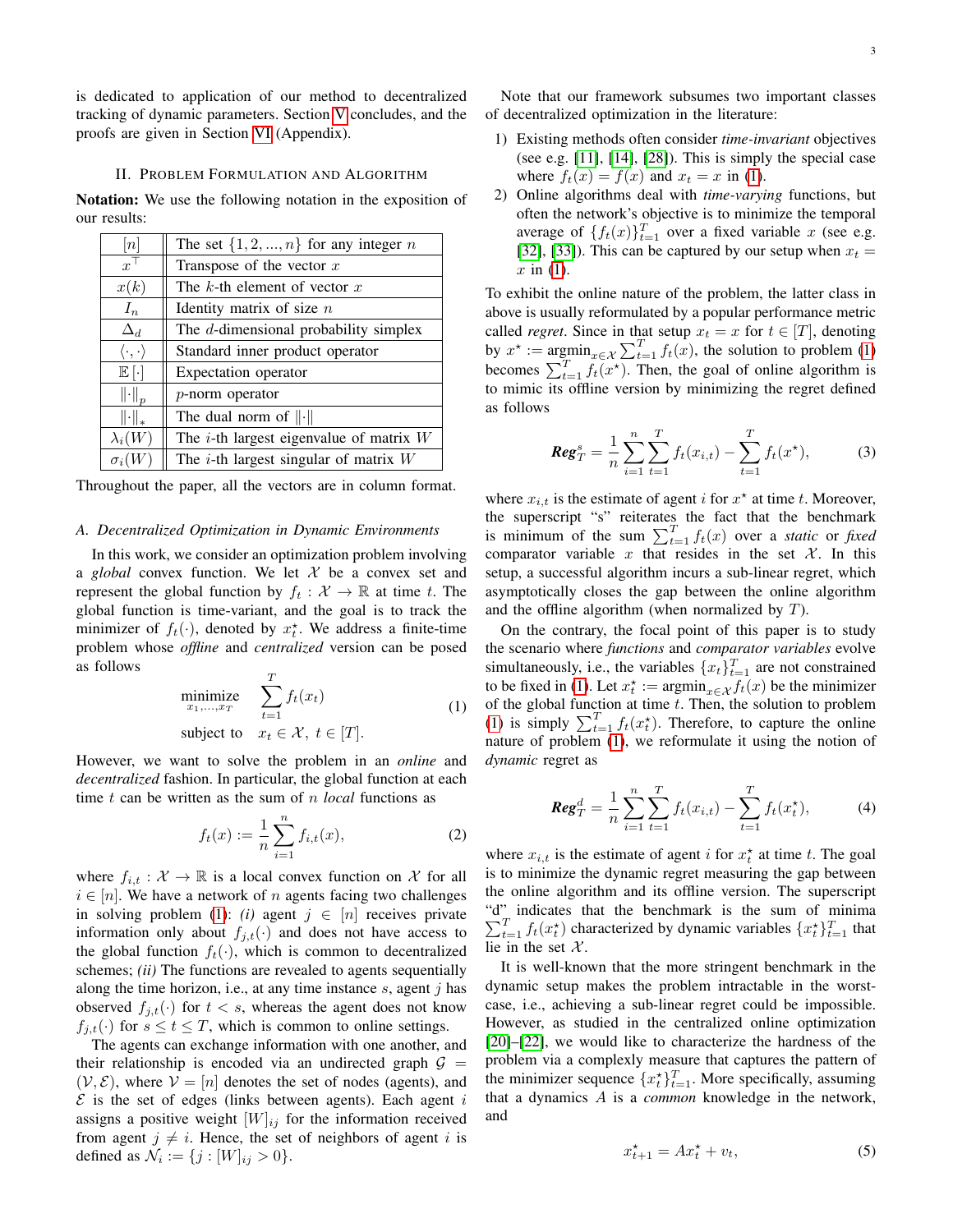is dedicated to application of our method to decentralized tracking of dynamic parameters. Section [V](#page-7-0) concludes, and the proofs are given in Section [VI](#page-8-0) (Appendix).

#### II. PROBLEM FORMULATION AND ALGORITHM

<span id="page-2-0"></span>Notation: We use the following notation in the exposition of our results:

| $\lceil n \rceil$                   | The set $\{1, 2, , n\}$ for any integer n    |
|-------------------------------------|----------------------------------------------|
| $x^{\top}$                          | Transpose of the vector $x$                  |
| x(k)                                | The k-th element of vector $x$               |
| $I_n$                               | Identity matrix of size $n$                  |
| $\Delta_d$                          | The d-dimensional probability simplex        |
| $\langle \cdot, \cdot \rangle$      | Standard inner product operator              |
| $\mathbb{E}[\cdot]$                 | Expectation operator                         |
| $\left\  \cdot \right\ _p$          | $p$ -norm operator                           |
| $\left\Vert \cdot \right\Vert _{*}$ | The dual norm of $\ \cdot\ $                 |
| $\lambda_i(W)$                      | The $i$ -th largest eigenvalue of matrix $W$ |
| $\sigma_i($                         | The $i$ -th largest singular of matrix $W$   |

Throughout the paper, all the vectors are in column format.

# *A. Decentralized Optimization in Dynamic Environments*

In this work, we consider an optimization problem involving a *global* convex function. We let  $X$  be a convex set and represent the global function by  $f_t : \mathcal{X} \to \mathbb{R}$  at time t. The global function is time-variant, and the goal is to track the minimizer of  $f_t(\cdot)$ , denoted by  $x_t^*$ . We address a finite-time problem whose *offline* and *centralized* version can be posed as follows

<span id="page-2-1"></span>
$$
\begin{array}{ll}\text{minimize} & \sum_{t=1}^{T} f_t(x_t) \\ \text{subject to} & x_t \in \mathcal{X}, \ t \in [T]. \end{array} \tag{1}
$$

However, we want to solve the problem in an *online* and *decentralized* fashion. In particular, the global function at each time t can be written as the sum of n *local* functions as

$$
f_t(x) := \frac{1}{n} \sum_{i=1}^n f_{i,t}(x),
$$
 (2)

where  $f_{i,t} : \mathcal{X} \to \mathbb{R}$  is a local convex function on X for all  $i \in [n]$ . We have a network of n agents facing two challenges in solving problem [\(1\)](#page-2-1): *(i)* agent  $j \in [n]$  receives private information only about  $f_{i,t}(\cdot)$  and does not have access to the global function  $f_t(\cdot)$ , which is common to decentralized schemes; *(ii)* The functions are revealed to agents sequentially along the time horizon, i.e., at any time instance  $s$ , agent  $j$  has observed  $f_{j,t}(\cdot)$  for  $t < s$ , whereas the agent does not know  $f_{j,t}(\cdot)$  for  $s \le t \le T$ , which is common to online settings.

The agents can exchange information with one another, and their relationship is encoded via an undirected graph  $G =$  $(V, \mathcal{E})$ , where  $V = [n]$  denotes the set of nodes (agents), and  $\mathcal E$  is the set of edges (links between agents). Each agent i assigns a positive weight  $[W]_{ij}$  for the information received from agent  $j \neq i$ . Hence, the set of neighbors of agent i is defined as  $\mathcal{N}_i := \{j : [W]_{ij} > 0\}.$ 

- 1) Existing methods often consider *time-invariant* objectives (see e.g. [\[11\]](#page-11-4), [\[14\]](#page-11-19), [\[28\]](#page-11-15)). This is simply the special case where  $f_t(x) = f(x)$  and  $x_t = x$  in [\(1\)](#page-2-1).
- 2) Online algorithms deal with *time-varying* functions, but often the network's objective is to minimize the temporal average of  $\{f_t(x)\}_{t=1}^T$  over a fixed variable x (see e.g. [\[32\]](#page-11-20), [\[33\]](#page-11-21)). This can be captured by our setup when  $x_t =$  $x$  in [\(1\)](#page-2-1).

To exhibit the online nature of the problem, the latter class in above is usually reformulated by a popular performance metric called *regret*. Since in that setup  $x_t = x$  for  $t \in [T]$ , denoting by  $x^* := \operatorname{argmin}_{x \in \mathcal{X}} \sum_{t=1}^T f_t(x)$ , the solution to problem [\(1\)](#page-2-1) becomes  $\sum_{t=1}^{T} f_t(x^*)$ . Then, the goal of online algorithm is to mimic its offline version by minimizing the regret defined as follows

<span id="page-2-5"></span>
$$
\text{Reg}_T^s = \frac{1}{n} \sum_{i=1}^n \sum_{t=1}^T f_t(x_{i,t}) - \sum_{t=1}^T f_t(x^{\star}), \tag{3}
$$

where  $x_{i,t}$  is the estimate of agent i for  $x^*$  at time t. Moreover, the superscript "s" reiterates the fact that the benchmark is minimum of the sum  $\sum_{t=1}^{T} f_t(x)$  over a *static* or *fixed* comparator variable x that resides in the set  $\mathcal{X}$ . In this setup, a successful algorithm incurs a sub-linear regret, which asymptotically closes the gap between the online algorithm and the offline algorithm (when normalized by  $T$ ).

On the contrary, the focal point of this paper is to study the scenario where *functions* and *comparator variables* evolve simultaneously, i.e., the variables  $\{x_t\}_{t=1}^T$  are not constrained to be fixed in [\(1\)](#page-2-1). Let  $x_t^* := \operatorname{argmin}_{x \in \mathcal{X}} f_t(x)$  be the minimizer of the global function at time  $t$ . Then, the solution to problem [\(1\)](#page-2-1) is simply  $\sum_{t=1}^{T} f_t(x_t)$ . Therefore, to capture the online nature of problem [\(1\)](#page-2-1), we reformulate it using the notion of *dynamic* regret as

<span id="page-2-3"></span>
$$
\text{Reg}_T^d = \frac{1}{n} \sum_{i=1}^n \sum_{t=1}^T f_t(x_{i,t}) - \sum_{t=1}^T f_t(x_t^{\star}), \tag{4}
$$

<span id="page-2-4"></span>where  $x_{i,t}$  is the estimate of agent i for  $x_t^*$  at time t. The goal is to minimize the dynamic regret measuring the gap between the online algorithm and its offline version. The superscript "d" indicates that the benchmark is the sum of minima  $\sum_{t=1}^{T} f_t(x_t^*)$  characterized by dynamic variables  $\{x_t^*\}_{t=1}^{T}$  that lie in the set  $\mathcal{X}$ .

It is well-known that the more stringent benchmark in the dynamic setup makes the problem intractable in the worstcase, i.e., achieving a sub-linear regret could be impossible. However, as studied in the centralized online optimization [\[20\]](#page-11-24)–[\[22\]](#page-11-8), we would like to characterize the hardness of the problem via a complexly measure that captures the pattern of the minimizer sequence  $\{x_t^*\}_{t=1}^T$ . More specifically, assuming that a dynamics A is a *common* knowledge in the network, and

<span id="page-2-2"></span>
$$
x_{t+1}^* = Ax_t^* + v_t,\tag{5}
$$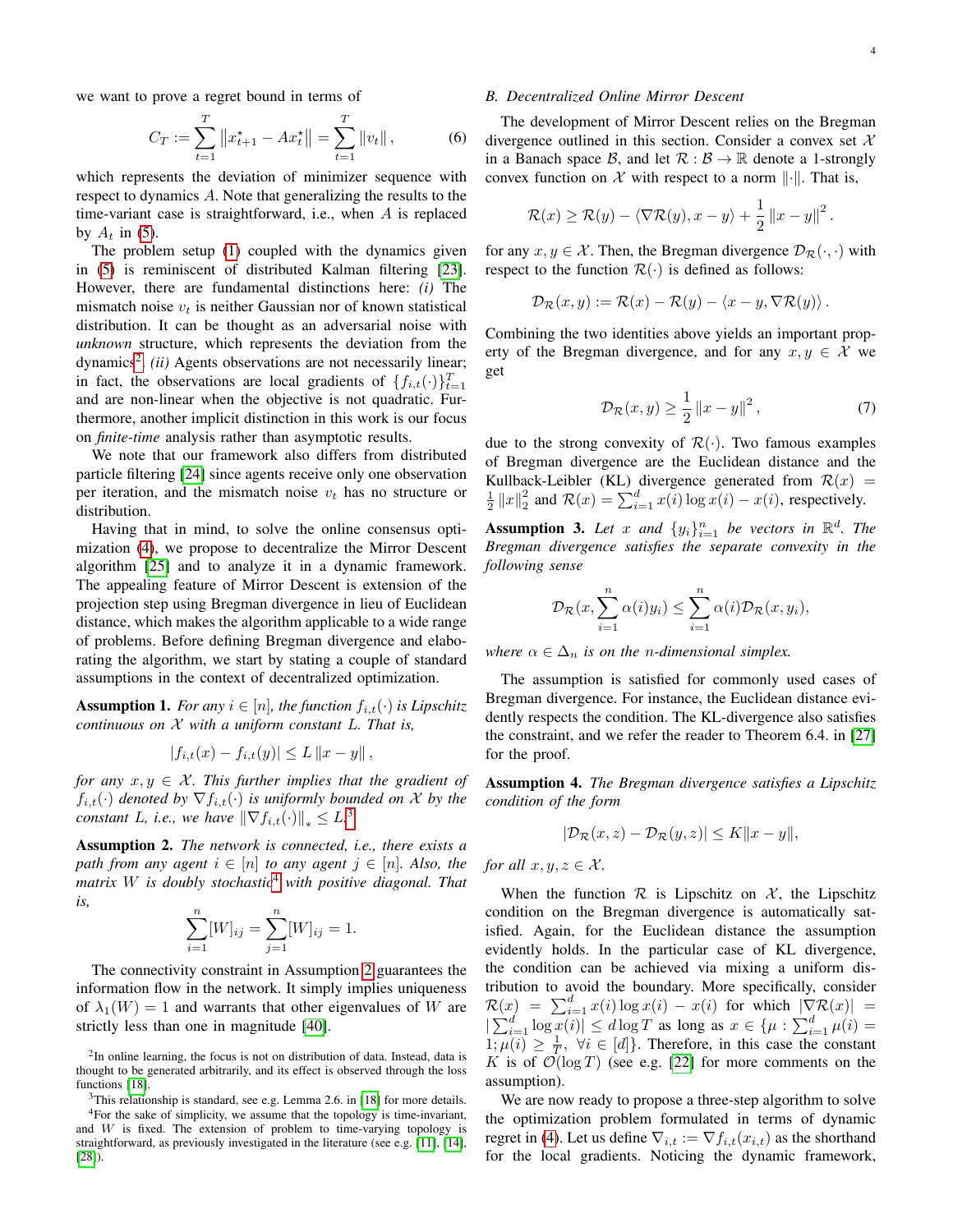we want to prove a regret bound in terms of

$$
C_T := \sum_{t=1}^T \left\| x_{t+1}^* - Ax_t^* \right\| = \sum_{t=1}^T \left\| v_t \right\|, \tag{6}
$$

which represents the deviation of minimizer sequence with respect to dynamics A. Note that generalizing the results to the time-variant case is straightforward, i.e., when  $A$  is replaced by  $A_t$  in [\(5\)](#page-2-2).

The problem setup [\(1\)](#page-2-1) coupled with the dynamics given in [\(5\)](#page-2-2) is reminiscent of distributed Kalman filtering [\[23\]](#page-11-9). However, there are fundamental distinctions here: *(i)* The mismatch noise  $v_t$  is neither Gaussian nor of known statistical distribution. It can be thought as an adversarial noise with *unknown* structure, which represents the deviation from the dynamics<sup>[2](#page-3-0)</sup>. *(ii)* Agents observations are not necessarily linear; in fact, the observations are local gradients of  $\{f_{i,t}(\cdot)\}_{t=1}^T$ and are non-linear when the objective is not quadratic. Furthermore, another implicit distinction in this work is our focus on *finite-time* analysis rather than asymptotic results.

We note that our framework also differs from distributed particle filtering [\[24\]](#page-11-10) since agents receive only one observation per iteration, and the mismatch noise  $v_t$  has no structure or distribution.

Having that in mind, to solve the online consensus optimization [\(4\)](#page-2-3), we propose to decentralize the Mirror Descent algorithm [\[25\]](#page-11-11) and to analyze it in a dynamic framework. The appealing feature of Mirror Descent is extension of the projection step using Bregman divergence in lieu of Euclidean distance, which makes the algorithm applicable to a wide range of problems. Before defining Bregman divergence and elaborating the algorithm, we start by stating a couple of standard assumptions in the context of decentralized optimization.

<span id="page-3-4"></span>**Assumption 1.** For any  $i \in [n]$ , the function  $f_{i,t}(\cdot)$  is Lipschitz *continuous on* X *with a uniform constant* L*. That is,*

$$
|f_{i,t}(x) - f_{i,t}(y)| \le L ||x - y||,
$$

*for any*  $x, y \in \mathcal{X}$ *. This further implies that the gradient of*  $f_{i,t}(\cdot)$  denoted by  $\nabla f_{i,t}(\cdot)$  *is uniformly bounded on* X *by the constant* L, *i.e.*, we have  $\|\nabla f_{i,t}(\cdot)\|_* \leq L^3$  $\|\nabla f_{i,t}(\cdot)\|_* \leq L^3$ 

<span id="page-3-3"></span>Assumption 2. *The network is connected, i.e., there exists a path from any agent*  $i \in [n]$  *to any agent*  $j \in [n]$ *. Also, the matrix* W *is doubly stochastic*[4](#page-3-2) *with positive diagonal. That is,*

$$
\sum_{i=1}^{n} [W]_{ij} = \sum_{j=1}^{n} [W]_{ij} = 1.
$$

The connectivity constraint in Assumption [2](#page-3-3) guarantees the information flow in the network. It simply implies uniqueness of  $\lambda_1(W) = 1$  and warrants that other eigenvalues of W are strictly less than one in magnitude [\[40\]](#page-11-30).

<span id="page-3-0"></span> $2$ In online learning, the focus is not on distribution of data. Instead, data is thought to be generated arbitrarily, and its effect is observed through the loss functions [\[18\]](#page-11-6).

<span id="page-3-2"></span><span id="page-3-1"></span> $3$ This relationship is standard, see e.g. Lemma 2.6. in [\[18\]](#page-11-6) for more details.

#### *B. Decentralized Online Mirror Descent*

The development of Mirror Descent relies on the Bregman divergence outlined in this section. Consider a convex set  $X$ in a Banach space B, and let  $\mathcal{R}: \mathcal{B} \to \mathbb{R}$  denote a 1-strongly convex function on X with respect to a norm  $\|\cdot\|$ . That is,

$$
\mathcal{R}(x) \geq \mathcal{R}(y) - \langle \nabla \mathcal{R}(y), x - y \rangle + \frac{1}{2} ||x - y||^{2}.
$$

for any  $x, y \in \mathcal{X}$ . Then, the Bregman divergence  $\mathcal{D}_{\mathcal{R}}(\cdot, \cdot)$  with respect to the function  $\mathcal{R}(\cdot)$  is defined as follows:

$$
\mathcal{D}_{\mathcal{R}}(x,y) := \mathcal{R}(x) - \mathcal{R}(y) - \langle x - y, \nabla \mathcal{R}(y) \rangle.
$$

Combining the two identities above yields an important property of the Bregman divergence, and for any  $x, y \in \mathcal{X}$  we get

<span id="page-3-7"></span>
$$
\mathcal{D}_{\mathcal{R}}(x, y) \ge \frac{1}{2} \|x - y\|^2, \tag{7}
$$

due to the strong convexity of  $\mathcal{R}(\cdot)$ . Two famous examples of Bregman divergence are the Euclidean distance and the Kullback-Leibler (KL) divergence generated from  $\mathcal{R}(x)$  =  $\frac{1}{2} ||x||_2^2$  and  $\mathcal{R}(x) = \sum_{i=1}^d x(i) \log x(i) - x(i)$ , respectively.

<span id="page-3-5"></span>**Assumption 3.** Let x and  $\{y_i\}_{i=1}^n$  be vectors in  $\mathbb{R}^d$ . The *Bregman divergence satisfies the separate convexity in the following sense*

$$
\mathcal{D}_{\mathcal{R}}(x, \sum_{i=1}^n \alpha(i)y_i) \leq \sum_{i=1}^n \alpha(i)\mathcal{D}_{\mathcal{R}}(x, y_i),
$$

*where*  $\alpha \in \Delta_n$  *is on the n-dimensional simplex.* 

The assumption is satisfied for commonly used cases of Bregman divergence. For instance, the Euclidean distance evidently respects the condition. The KL-divergence also satisfies the constraint, and we refer the reader to Theorem 6.4. in [\[27\]](#page-11-13) for the proof.

<span id="page-3-6"></span>Assumption 4. *The Bregman divergence satisfies a Lipschitz condition of the form*

$$
|\mathcal{D}_{\mathcal{R}}(x,z) - \mathcal{D}_{\mathcal{R}}(y,z)| \le K ||x - y||,
$$

*for all*  $x, y, z \in \mathcal{X}$ *.* 

When the function  $\mathcal R$  is Lipschitz on  $\mathcal X$ , the Lipschitz condition on the Bregman divergence is automatically satisfied. Again, for the Euclidean distance the assumption evidently holds. In the particular case of KL divergence, the condition can be achieved via mixing a uniform distribution to avoid the boundary. More specifically, consider  $\mathcal{R}(x) = \sum_{i=1}^d x(i) \log x(i) - x(i)$  for which  $|\nabla \mathcal{R}(x)| =$  $|\sum_{i=1}^d \log x(i)| \leq d \log T$  as long as  $x \in {\{\mu : \sum_{i=1}^d \mu(i) = \mu(i)\}}$  $1; \mu(i) \geq \frac{1}{T}$ ,  $\forall i \in [d]$ . Therefore, in this case the constant K is of  $\mathcal{O}(\log T)$  (see e.g. [\[22\]](#page-11-8) for more comments on the assumption).

We are now ready to propose a three-step algorithm to solve the optimization problem formulated in terms of dynamic regret in [\(4\)](#page-2-3). Let us define  $\nabla_{i,t} := \nabla f_{i,t}(x_{i,t})$  as the shorthand for the local gradients. Noticing the dynamic framework,

<sup>4</sup>For the sake of simplicity, we assume that the topology is time-invariant, and  $W$  is fixed. The extension of problem to time-varying topology is straightforward, as previously investigated in the literature (see e.g. [\[11\]](#page-11-4), [\[14\]](#page-11-19), [\[28\]](#page-11-15)).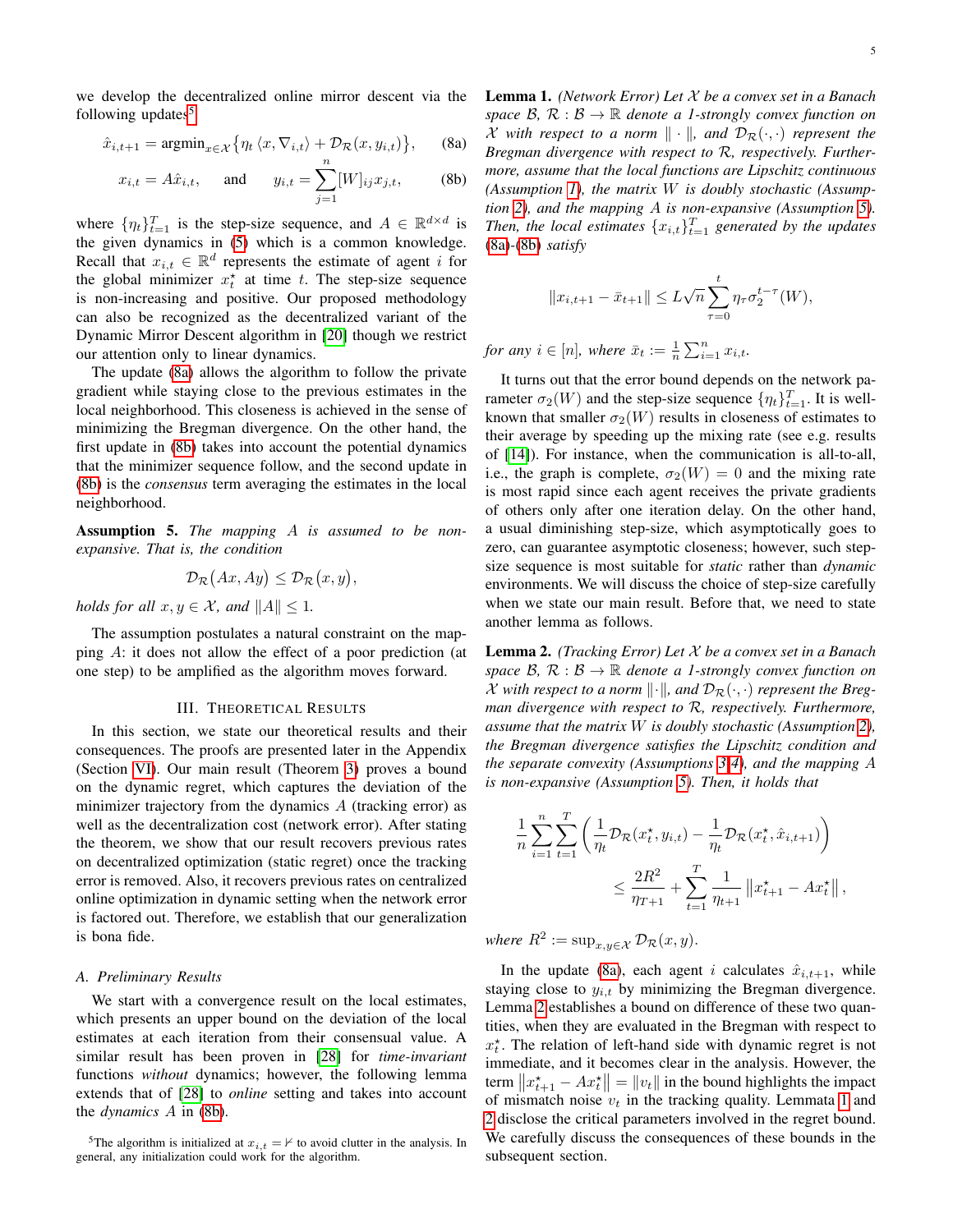we develop the decentralized online mirror descent via the following updates<sup>[5](#page-4-1)</sup>

$$
\hat{x}_{i,t+1} = \operatorname{argmin}_{x \in \mathcal{X}} \{ \eta_t \langle x, \nabla_{i,t} \rangle + \mathcal{D}_{\mathcal{R}}(x, y_{i,t}) \}, \qquad \text{(8a)}
$$

$$
x_{i,t} = A\hat{x}_{i,t}
$$
, and  $y_{i,t} = \sum_{j=1}^{n} [W]_{ij} x_{j,t}$ , (8b)

where  $\{\eta_t\}_{t=1}^T$  is the step-size sequence, and  $A \in \mathbb{R}^{d \times d}$  is the given dynamics in [\(5\)](#page-2-2) which is a common knowledge. Recall that  $x_{i,t} \in \mathbb{R}^d$  represents the estimate of agent i for the global minimizer  $x_t^*$  at time t. The step-size sequence is non-increasing and positive. Our proposed methodology can also be recognized as the decentralized variant of the Dynamic Mirror Descent algorithm in [\[20\]](#page-11-24) though we restrict our attention only to linear dynamics.

The update [\(8a\)](#page-2-1) allows the algorithm to follow the private gradient while staying close to the previous estimates in the local neighborhood. This closeness is achieved in the sense of minimizing the Bregman divergence. On the other hand, the first update in [\(8b\)](#page-2-4) takes into account the potential dynamics that the minimizer sequence follow, and the second update in [\(8b\)](#page-2-4) is the *consensus* term averaging the estimates in the local neighborhood.

<span id="page-4-2"></span>Assumption 5. *The mapping* A *is assumed to be nonexpansive. That is, the condition*

$$
\mathcal{D}_{\mathcal{R}}(Ax, Ay) \leq \mathcal{D}_{\mathcal{R}}(x, y),
$$

*holds for all*  $x, y \in \mathcal{X}$ *, and*  $||A|| \leq 1$ *.* 

The assumption postulates a natural constraint on the mapping A: it does not allow the effect of a poor prediction (at one step) to be amplified as the algorithm moves forward.

# III. THEORETICAL RESULTS

<span id="page-4-0"></span>In this section, we state our theoretical results and their consequences. The proofs are presented later in the Appendix (Section [VI\)](#page-8-0). Our main result (Theorem [3\)](#page-5-0) proves a bound on the dynamic regret, which captures the deviation of the minimizer trajectory from the dynamics A (tracking error) as well as the decentralization cost (network error). After stating the theorem, we show that our result recovers previous rates on decentralized optimization (static regret) once the tracking error is removed. Also, it recovers previous rates on centralized online optimization in dynamic setting when the network error is factored out. Therefore, we establish that our generalization is bona fide.

# *A. Preliminary Results*

We start with a convergence result on the local estimates, which presents an upper bound on the deviation of the local estimates at each iteration from their consensual value. A similar result has been proven in [\[28\]](#page-11-15) for *time-invariant* functions *without* dynamics; however, the following lemma extends that of [\[28\]](#page-11-15) to *online* setting and takes into account the *dynamics* A in [\(8b\)](#page-2-4).

Lemma 1. *(Network Error) Let* X *be a convex set in a Banach space*  $\mathcal{B}, \mathcal{R}: \mathcal{B} \to \mathbb{R}$  *denote a 1-strongly convex function on*  $\mathcal X$  with respect to a norm  $\|\cdot\|$ , and  $\mathcal D_{\mathcal R}(\cdot,\cdot)$  represent the *Bregman divergence with respect to* R*, respectively. Furthermore, assume that the local functions are Lipschitz continuous (Assumption [1\)](#page-3-4), the matrix* W *is doubly stochastic (Assumption [2\)](#page-3-3), and the mapping* A *is non-expansive (Assumption [5\)](#page-4-2).* Then, the local estimates  $\{x_{i,t}\}_{t=1}^T$  generated by the updates [\(8a\)](#page-2-1)*-*[\(8b\)](#page-2-4) *satisfy*

$$
||x_{i,t+1} - \bar{x}_{t+1}|| \le L\sqrt{n}\sum_{\tau=0}^{t} \eta_{\tau}\sigma_2^{t-\tau}(W),
$$

*for any*  $i \in [n]$ *, where*  $\bar{x}_t := \frac{1}{n} \sum_{i=1}^n x_{i,t}$ *.* 

It turns out that the error bound depends on the network parameter  $\sigma_2(W)$  and the step-size sequence  $\{\eta_t\}_{t=1}^T$ . It is wellknown that smaller  $\sigma_2(W)$  results in closeness of estimates to their average by speeding up the mixing rate (see e.g. results of [\[14\]](#page-11-19)). For instance, when the communication is all-to-all, i.e., the graph is complete,  $\sigma_2(W) = 0$  and the mixing rate is most rapid since each agent receives the private gradients of others only after one iteration delay. On the other hand, a usual diminishing step-size, which asymptotically goes to zero, can guarantee asymptotic closeness; however, such stepsize sequence is most suitable for *static* rather than *dynamic* environments. We will discuss the choice of step-size carefully when we state our main result. Before that, we need to state another lemma as follows.

<span id="page-4-3"></span>Lemma 2. *(Tracking Error) Let* X *be a convex set in a Banach space*  $\mathcal{B}, \mathcal{R} : \mathcal{B} \to \mathbb{R}$  *denote a 1-strongly convex function on X* with respect to a norm  $\|\cdot\|$ , and  $\mathcal{D}_{\mathcal{R}}(\cdot,\cdot)$  represent the Breg*man divergence with respect to* R*, respectively. Furthermore, assume that the matrix* W *is doubly stochastic (Assumption [2\)](#page-3-3), the Bregman divergence satisfies the Lipschitz condition and the separate convexity (Assumptions [3-](#page-3-5)[4\)](#page-3-6), and the mapping* A *is non-expansive (Assumption [5\)](#page-4-2). Then, it holds that*

$$
\frac{1}{n} \sum_{i=1}^{n} \sum_{t=1}^{T} \left( \frac{1}{\eta_t} \mathcal{D}_{\mathcal{R}}(x_t^*, y_{i,t}) - \frac{1}{\eta_t} \mathcal{D}_{\mathcal{R}}(x_t^*, \hat{x}_{i,t+1}) \right) \le \frac{2R^2}{\eta_{T+1}} + \sum_{t=1}^{T} \frac{1}{\eta_{t+1}} ||x_{t+1}^* - Ax_t^*||,
$$

*where*  $R^2 := \sup_{x,y \in \mathcal{X}} \mathcal{D}_{\mathcal{R}}(x,y)$ .

In the update [\(8a\)](#page-2-1), each agent i calculates  $\hat{x}_{i,t+1}$ , while staying close to  $y_{i,t}$  by minimizing the Bregman divergence. Lemma [2](#page-4-3) establishes a bound on difference of these two quantities, when they are evaluated in the Bregman with respect to  $x_t^*$ . The relation of left-hand side with dynamic regret is not immediate, and it becomes clear in the analysis. However, the term  $||x_{t+1}^* - Ax_t^*|| = ||v_t||$  in the bound highlights the impact of mismatch noise  $v_t$  in the tracking quality. Lemmata [1](#page-4-4) and [2](#page-4-3) disclose the critical parameters involved in the regret bound. We carefully discuss the consequences of these bounds in the subsequent section.

<span id="page-4-4"></span><span id="page-4-1"></span><sup>&</sup>lt;sup>5</sup>The algorithm is initialized at  $x_{i,t} = \frac{\mu}{\sigma}$  to avoid clutter in the analysis. In general, any initialization could work for the algorithm.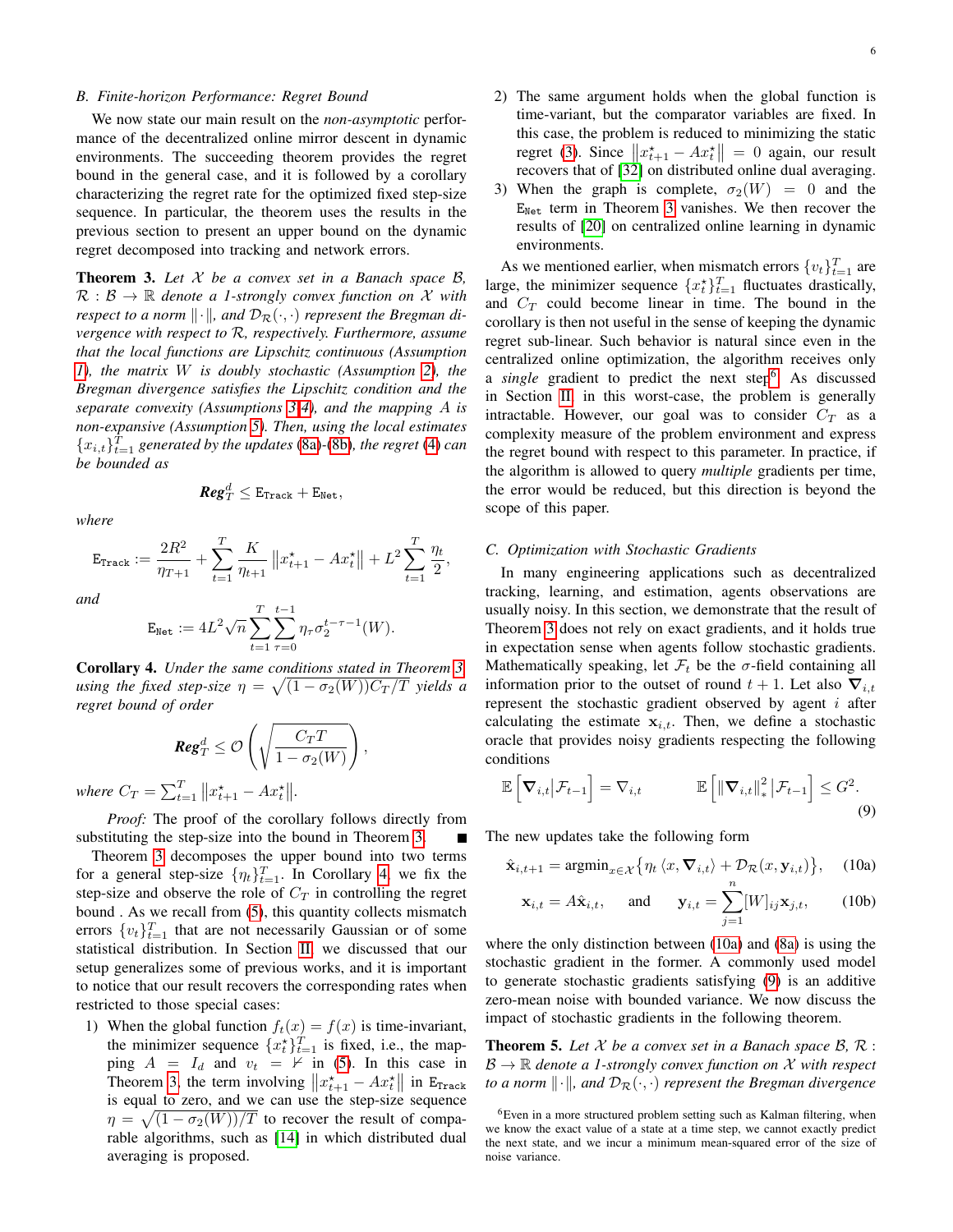#### *B. Finite-horizon Performance: Regret Bound*

We now state our main result on the *non-asymptotic* performance of the decentralized online mirror descent in dynamic environments. The succeeding theorem provides the regret bound in the general case, and it is followed by a corollary characterizing the regret rate for the optimized fixed step-size sequence. In particular, the theorem uses the results in the previous section to present an upper bound on the dynamic regret decomposed into tracking and network errors.

<span id="page-5-0"></span>Theorem 3. *Let* X *be a convex set in a Banach space* B*,*  $\mathcal{R}: \mathcal{B} \to \mathbb{R}$  denote a 1-strongly convex function on X with *respect to a norm*  $\|\cdot\|$ *, and*  $\mathcal{D}_{\mathcal{R}}(\cdot, \cdot)$  *represent the Bregman divergence with respect to* R*, respectively. Furthermore, assume that the local functions are Lipschitz continuous (Assumption [1\)](#page-3-4), the matrix* W *is doubly stochastic (Assumption [2\)](#page-3-3), the Bregman divergence satisfies the Lipschitz condition and the separate convexity (Assumptions [3](#page-3-5)[-4\)](#page-3-6), and the mapping* A *is non-expansive (Assumption [5\)](#page-4-2). Then, using the local estimates*  ${x_{i,t}}}_{t=1}^T$  *generated by the updates* [\(8a\)](#page-2-1)-[\(8b\)](#page-2-4)*, the regret* [\(4\)](#page-2-3) *can be bounded as*

*where*

$$
\textit{Reg}_T^d \leq \texttt{E}_{\texttt{Track}} + \texttt{E}_{\texttt{Net}},
$$

 $\eta_t$  $\frac{\pi}{2}$ ,

$$
\mathbf{E}_{\text{Track}} := \frac{2R^2}{\eta_{T+1}} + \sum_{t=1}^{T} \frac{K}{\eta_{t+1}} \left\| x_{t+1}^{\star} - Ax_t^{\star} \right\| + L^2 \sum_{t=1}^{T}
$$

*Reg*<sup>d</sup>

*and*

$$
\mathbf{E}_{\text{Net}} := 4L^2 \sqrt{n} \sum_{t=1}^T \sum_{\tau=0}^{t-1} \eta_\tau \sigma_2^{t-\tau-1}(W).
$$

<span id="page-5-1"></span>Corollary 4. *Under the same conditions stated in Theorem [3,](#page-5-0)* using the fixed step-size  $\eta = \sqrt{(1 - \sigma_2(W))C_T/T}$  yields a *regret bound of order*

$$
\text{Reg}_T^d \leq \mathcal{O}\left(\sqrt{\frac{C_T T}{1 - \sigma_2(W)}}\right),\,
$$

*where*  $C_T = \sum_{t=1}^T ||x_{t+1}^* - Ax_t^*||.$ 

*Proof:* The proof of the corollary follows directly from substituting the step-size into the bound in Theorem [3.](#page-5-0)

Theorem [3](#page-5-0) decomposes the upper bound into two terms for a general step-size  $\{\eta_t\}_{t=1}^T$ . In Corollary [4,](#page-5-1) we fix the step-size and observe the role of  $C_T$  in controlling the regret bound . As we recall from [\(5\)](#page-2-2), this quantity collects mismatch errors  $\{v_t\}_{t=1}^T$  that are not necessarily Gaussian or of some statistical distribution. In Section [II,](#page-2-0) we discussed that our setup generalizes some of previous works, and it is important to notice that our result recovers the corresponding rates when restricted to those special cases:

1) When the global function  $f_t(x) = f(x)$  is time-invariant, the minimizer sequence  $\{x_t^*\}_{t=1}^T$  is fixed, i.e., the mapping  $A = I_d$  and  $v_t = \nvdash$  in [\(5\)](#page-2-2). In this case in Theorem [3,](#page-5-0) the term involving  $||x_{t+1}^* - Ax_t^*||$  in E<sub>Track</sub> is equal to zero, and we can use the step-size sequence  $\eta = \sqrt{(1 - \sigma_2(W))/T}$  to recover the result of comparable algorithms, such as [\[14\]](#page-11-19) in which distributed dual averaging is proposed.

- 2) The same argument holds when the global function is time-variant, but the comparator variables are fixed. In this case, the problem is reduced to minimizing the static regret [\(3\)](#page-2-5). Since  $||x_{t+1}^* - Ax_t^*|| = 0$  again, our result recovers that of [\[32\]](#page-11-20) on distributed online dual averaging.
- 3) When the graph is complete,  $\sigma_2(W) = 0$  and the  $E_{Net}$  term in Theorem [3](#page-5-0) vanishes. We then recover the results of [\[20\]](#page-11-24) on centralized online learning in dynamic environments.

As we mentioned earlier, when mismatch errors  $\{v_t\}_{t=1}^T$  are large, the minimizer sequence  $\{x_t^{\star}\}_{t=1}^T$  fluctuates drastically, and  $C_T$  could become linear in time. The bound in the corollary is then not useful in the sense of keeping the dynamic regret sub-linear. Such behavior is natural since even in the centralized online optimization, the algorithm receives only a *single* gradient to predict the next step<sup>[6](#page-5-2)</sup>. As discussed in Section [II,](#page-2-0) in this worst-case, the problem is generally intractable. However, our goal was to consider  $C_T$  as a complexity measure of the problem environment and express the regret bound with respect to this parameter. In practice, if the algorithm is allowed to query *multiple* gradients per time, the error would be reduced, but this direction is beyond the scope of this paper.

#### *C. Optimization with Stochastic Gradients*

In many engineering applications such as decentralized tracking, learning, and estimation, agents observations are usually noisy. In this section, we demonstrate that the result of Theorem [3](#page-5-0) does not rely on exact gradients, and it holds true in expectation sense when agents follow stochastic gradients. Mathematically speaking, let  $\mathcal{F}_t$  be the  $\sigma$ -field containing all information prior to the outset of round  $t + 1$ . Let also  $\nabla_{i,t}$ represent the stochastic gradient observed by agent  $i$  after calculating the estimate  $x_{i,t}$ . Then, we define a stochastic oracle that provides noisy gradients respecting the following conditions

$$
\mathbb{E}\left[\nabla_{i,t}|\mathcal{F}_{t-1}\right] = \nabla_{i,t} \qquad \qquad \mathbb{E}\left[\left\|\nabla_{i,t}\right\|_{*}^{2}|\mathcal{F}_{t-1}\right] \leq G^{2}.
$$
\n(9)

The new updates take the following form

$$
\hat{\mathbf{x}}_{i,t+1} = \operatorname{argmin}_{x \in \mathcal{X}} \{ \eta_t \langle x, \nabla_{i,t} \rangle + \mathcal{D}_{\mathcal{R}}(x, \mathbf{y}_{i,t}) \}, \quad (10a)
$$

<span id="page-5-5"></span><span id="page-5-4"></span><span id="page-5-3"></span>
$$
\mathbf{x}_{i,t} = A\hat{\mathbf{x}}_{i,t}, \quad \text{and} \quad \mathbf{y}_{i,t} = \sum_{j=1} [W]_{ij} \mathbf{x}_{j,t}, \quad (10b)
$$

where the only distinction between [\(10a\)](#page-5-3) and [\(8a\)](#page-2-1) is using the stochastic gradient in the former. A commonly used model to generate stochastic gradients satisfying [\(9\)](#page-5-4) is an additive zero-mean noise with bounded variance. We now discuss the impact of stochastic gradients in the following theorem.

<span id="page-5-6"></span>**Theorem 5.** Let  $X$  be a convex set in a Banach space  $B$ ,  $\mathcal{R}$ :  $\mathcal{B} \to \mathbb{R}$  *denote a 1-strongly convex function on* X *with respect to a norm*  $\|\cdot\|$ *, and*  $\mathcal{D}_{\mathcal{R}}(\cdot, \cdot)$  *represent the Bregman divergence* 

<span id="page-5-2"></span><sup>6</sup>Even in a more structured problem setting such as Kalman filtering, when we know the exact value of a state at a time step, we cannot exactly predict the next state, and we incur a minimum mean-squared error of the size of noise variance.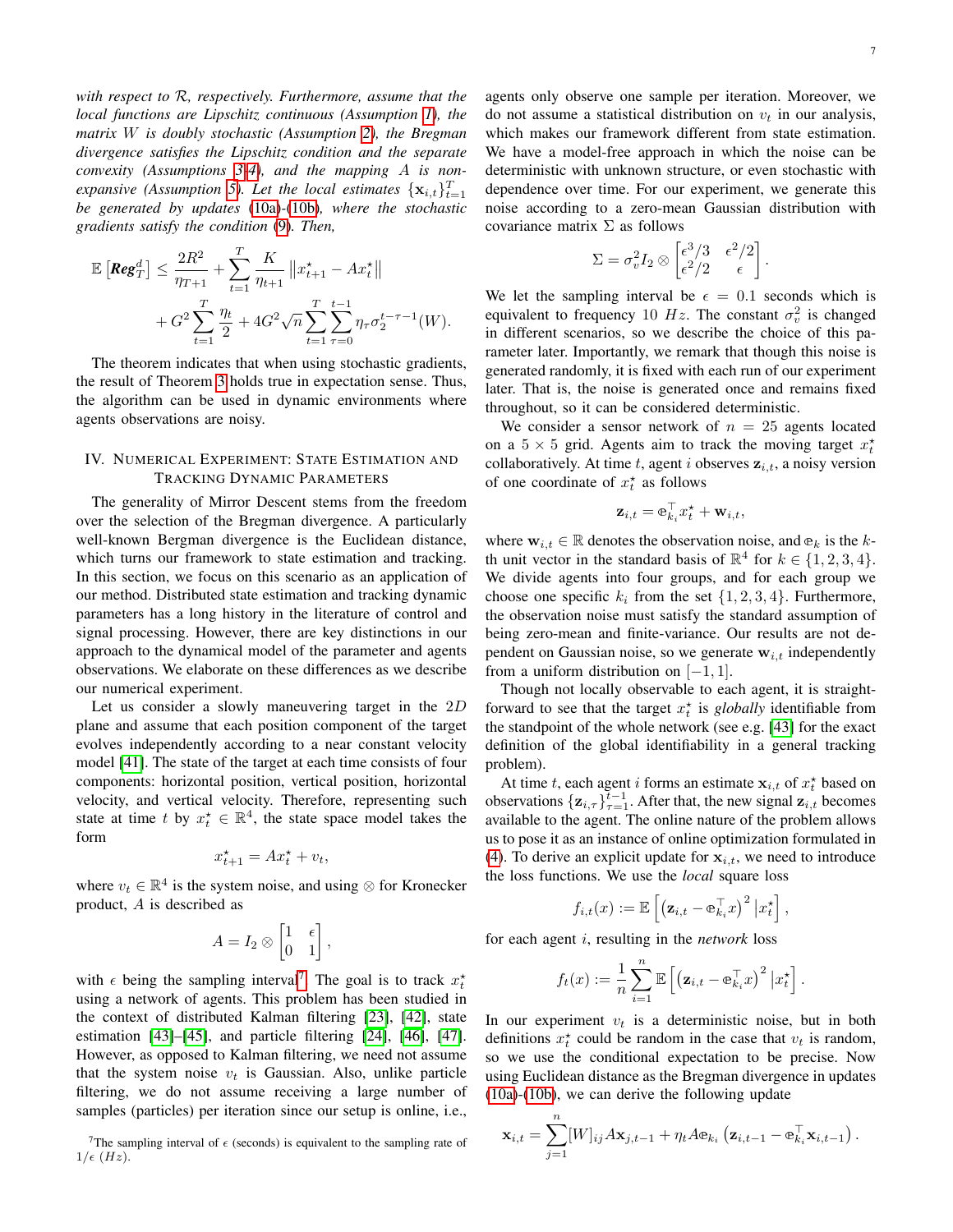*with respect to* R*, respectively. Furthermore, assume that the local functions are Lipschitz continuous (Assumption [1\)](#page-3-4), the matrix* W *is doubly stochastic (Assumption [2\)](#page-3-3), the Bregman divergence satisfies the Lipschitz condition and the separate convexity (Assumptions [3](#page-3-5)[-4\)](#page-3-6), and the mapping* A *is non-expansive (Assumption [5\)](#page-4-2). Let the local estimates*  $\{x_{i,t}\}_{t=1}^T$ *be generated by updates* [\(10a\)](#page-5-3)*-*[\(10b\)](#page-5-5)*, where the stochastic gradients satisfy the condition* [\(9\)](#page-5-4)*. Then,*

$$
\mathbb{E}\left[\text{Reg}_{T}^{d}\right] \leq \frac{2R^{2}}{\eta_{T+1}} + \sum_{t=1}^{T} \frac{K}{\eta_{t+1}} \left\|x_{t+1}^{\star} - Ax_{t}^{\star}\right\| + G^{2} \sum_{t=1}^{T} \frac{\eta_{t}}{2} + 4G^{2} \sqrt{n} \sum_{t=1}^{T} \sum_{\tau=0}^{t-1} \eta_{\tau} \sigma_{2}^{t-\tau-1}(W).
$$

The theorem indicates that when using stochastic gradients, the result of Theorem [3](#page-5-0) holds true in expectation sense. Thus, the algorithm can be used in dynamic environments where agents observations are noisy.

# <span id="page-6-0"></span>IV. NUMERICAL EXPERIMENT: STATE ESTIMATION AND TRACKING DYNAMIC PARAMETERS

The generality of Mirror Descent stems from the freedom over the selection of the Bregman divergence. A particularly well-known Bergman divergence is the Euclidean distance, which turns our framework to state estimation and tracking. In this section, we focus on this scenario as an application of our method. Distributed state estimation and tracking dynamic parameters has a long history in the literature of control and signal processing. However, there are key distinctions in our approach to the dynamical model of the parameter and agents observations. We elaborate on these differences as we describe our numerical experiment.

Let us consider a slowly maneuvering target in the 2D plane and assume that each position component of the target evolves independently according to a near constant velocity model [\[41\]](#page-11-31). The state of the target at each time consists of four components: horizontal position, vertical position, horizontal velocity, and vertical velocity. Therefore, representing such state at time t by  $x_t^* \in \mathbb{R}^4$ , the state space model takes the form

$$
x_{t+1}^{\star} = Ax_t^{\star} + v_t,
$$

where  $v_t \in \mathbb{R}^4$  is the system noise, and using  $\otimes$  for Kronecker product, A is described as

$$
A = I_2 \otimes \begin{bmatrix} 1 & \epsilon \\ 0 & 1 \end{bmatrix},
$$

with  $\epsilon$  being the sampling interval<sup>[7](#page-6-1)</sup>. The goal is to track  $x_t^*$ using a network of agents. This problem has been studied in the context of distributed Kalman filtering [\[23\]](#page-11-9), [\[42\]](#page-11-32), state estimation [\[43\]](#page-11-33)–[\[45\]](#page-11-34), and particle filtering [\[24\]](#page-11-10), [\[46\]](#page-11-35), [\[47\]](#page-11-36). However, as opposed to Kalman filtering, we need not assume that the system noise  $v_t$  is Gaussian. Also, unlike particle filtering, we do not assume receiving a large number of samples (particles) per iteration since our setup is online, i.e.,

agents only observe one sample per iteration. Moreover, we do not assume a statistical distribution on  $v_t$  in our analysis, which makes our framework different from state estimation. We have a model-free approach in which the noise can be deterministic with unknown structure, or even stochastic with dependence over time. For our experiment, we generate this noise according to a zero-mean Gaussian distribution with covariance matrix  $\Sigma$  as follows

$$
\Sigma = \sigma_v^2 I_2 \otimes \begin{bmatrix} \epsilon^3/3 & \epsilon^2/2\\ \epsilon^2/2 & \epsilon \end{bmatrix}
$$

.

We let the sampling interval be  $\epsilon = 0.1$  seconds which is equivalent to frequency 10 Hz. The constant  $\sigma_v^2$  is changed in different scenarios, so we describe the choice of this parameter later. Importantly, we remark that though this noise is generated randomly, it is fixed with each run of our experiment later. That is, the noise is generated once and remains fixed throughout, so it can be considered deterministic.

We consider a sensor network of  $n = 25$  agents located on a  $5 \times 5$  grid. Agents aim to track the moving target  $x_t^*$ collaboratively. At time t, agent i observes  $z_{i,t}$ , a noisy version of one coordinate of  $x_t^*$  as follows

$$
\mathbf{z}_{i,t} = \mathbf{e}_{k_i}^{\top} x_t^{\star} + \mathbf{w}_{i,t},
$$

where  $\mathbf{w}_{i,t} \in \mathbb{R}$  denotes the observation noise, and  $e_k$  is the kth unit vector in the standard basis of  $\mathbb{R}^4$  for  $k \in \{1, 2, 3, 4\}.$ We divide agents into four groups, and for each group we choose one specific  $k_i$  from the set  $\{1, 2, 3, 4\}$ . Furthermore, the observation noise must satisfy the standard assumption of being zero-mean and finite-variance. Our results are not dependent on Gaussian noise, so we generate  $w_{i,t}$  independently from a uniform distribution on  $[-1, 1]$ .

Though not locally observable to each agent, it is straightforward to see that the target  $x_t^*$  is *globally* identifiable from the standpoint of the whole network (see e.g. [\[43\]](#page-11-33) for the exact definition of the global identifiability in a general tracking problem).

At time t, each agent i forms an estimate  $x_{i,t}$  of  $x_t^*$  based on observations  $\{z_{i,\tau}\}_{\tau=1}^{t-1}$ . After that, the new signal  $z_{i,t}$  becomes available to the agent. The online nature of the problem allows us to pose it as an instance of online optimization formulated in [\(4\)](#page-2-3). To derive an explicit update for  $x_{i,t}$ , we need to introduce the loss functions. We use the *local* square loss

$$
f_{i,t}(x) := \mathbb{E}\left[\left(\mathbf{z}_{i,t} - \mathbf{e}_{k_i}^\top x\right)^2 \big| x_t^{\star}\right],
$$

for each agent i, resulting in the *network* loss

$$
f_t(x) := \frac{1}{n} \sum_{i=1}^n \mathbb{E} \left[ \left( \mathbf{z}_{i,t} - \mathbf{e}_{k_i}^\top x \right)^2 \big| x_t^{\star} \right].
$$

In our experiment  $v_t$  is a deterministic noise, but in both definitions  $x_t^*$  could be random in the case that  $v_t$  is random, so we use the conditional expectation to be precise. Now using Euclidean distance as the Bregman divergence in updates [\(10a\)](#page-5-3)-[\(10b\)](#page-5-5), we can derive the following update

$$
\mathbf{x}_{i,t} = \sum_{j=1}^n [W]_{ij} A \mathbf{x}_{j,t-1} + \eta_t A \mathbf{e}_{k_i} \left( \mathbf{z}_{i,t-1} - \mathbf{e}_{k_i}^\top \mathbf{x}_{i,t-1} \right).
$$

<span id="page-6-1"></span><sup>&</sup>lt;sup>7</sup>The sampling interval of  $\epsilon$  (seconds) is equivalent to the sampling rate of  $1/\epsilon$  (*Hz*).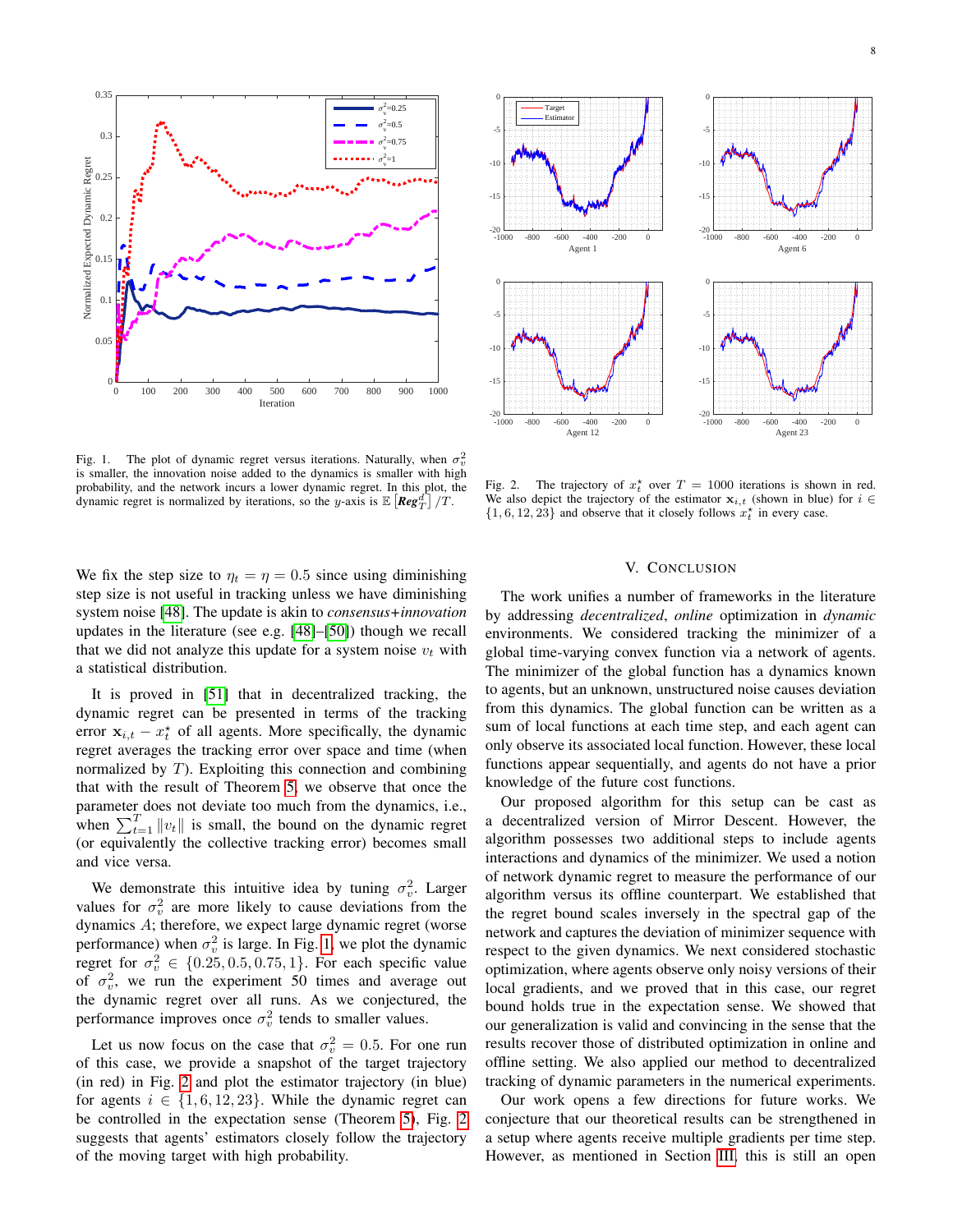

<span id="page-7-1"></span>Fig. 1. The plot of dynamic regret versus iterations. Naturally, when  $\sigma_v^2$ is smaller, the innovation noise added to the dynamics is smaller with high probability, and the network incurs a lower dynamic regret. In this plot, the dynamic regret is normalized by iterations, so the y-axis is  $\mathbb{E} \left[ \textit{Reg}^d_T \right] / T$ .

We fix the step size to  $\eta_t = \eta = 0.5$  since using diminishing step size is not useful in tracking unless we have diminishing system noise [\[48\]](#page-11-37). The update is akin to *consensus+innovation* updates in the literature (see e.g. [\[48\]](#page-11-37)–[\[50\]](#page-11-38)) though we recall that we did not analyze this update for a system noise  $v_t$  with a statistical distribution.

It is proved in [\[51\]](#page-12-0) that in decentralized tracking, the dynamic regret can be presented in terms of the tracking error  $x_{i,t} - x_t^*$  of all agents. More specifically, the dynamic regret averages the tracking error over space and time (when normalized by  $T$ ). Exploiting this connection and combining that with the result of Theorem [5,](#page-5-6) we observe that once the parameter does not deviate too much from the dynamics, i.e., when  $\sum_{t=1}^{T} ||v_t||$  is small, the bound on the dynamic regret (or equivalently the collective tracking error) becomes small and vice versa.

We demonstrate this intuitive idea by tuning  $\sigma_v^2$ . Larger values for  $\sigma_v^2$  are more likely to cause deviations from the dynamics A; therefore, we expect large dynamic regret (worse performance) when  $\sigma_v^2$  is large. In Fig. [1,](#page-7-1) we plot the dynamic regret for  $\sigma_v^2 \in \{0.25, 0.5, 0.75, 1\}$ . For each specific value of  $\sigma_v^2$ , we run the experiment 50 times and average out the dynamic regret over all runs. As we conjectured, the performance improves once  $\sigma_v^2$  tends to smaller values.

Let us now focus on the case that  $\sigma_v^2 = 0.5$ . For one run of this case, we provide a snapshot of the target trajectory (in red) in Fig. [2](#page-7-2) and plot the estimator trajectory (in blue) for agents  $i \in \{1, 6, 12, 23\}$ . While the dynamic regret can be controlled in the expectation sense (Theorem [5\)](#page-5-6), Fig. [2](#page-7-2) suggests that agents' estimators closely follow the trajectory of the moving target with high probability.



Fig. 2. The trajectory of  $x_t^*$  over  $T = 1000$  iterations is shown in red. We also depict the trajectory of the estimator  $x_{i,t}$  (shown in blue) for  $i \in$  $\{1, 6, 12, 23\}$  and observe that it closely follows  $x_t^{\star}$  in every case.

## <span id="page-7-2"></span>V. CONCLUSION

<span id="page-7-0"></span>The work unifies a number of frameworks in the literature by addressing *decentralized*, *online* optimization in *dynamic* environments. We considered tracking the minimizer of a global time-varying convex function via a network of agents. The minimizer of the global function has a dynamics known to agents, but an unknown, unstructured noise causes deviation from this dynamics. The global function can be written as a sum of local functions at each time step, and each agent can only observe its associated local function. However, these local functions appear sequentially, and agents do not have a prior knowledge of the future cost functions.

Our proposed algorithm for this setup can be cast as a decentralized version of Mirror Descent. However, the algorithm possesses two additional steps to include agents interactions and dynamics of the minimizer. We used a notion of network dynamic regret to measure the performance of our algorithm versus its offline counterpart. We established that the regret bound scales inversely in the spectral gap of the network and captures the deviation of minimizer sequence with respect to the given dynamics. We next considered stochastic optimization, where agents observe only noisy versions of their local gradients, and we proved that in this case, our regret bound holds true in the expectation sense. We showed that our generalization is valid and convincing in the sense that the results recover those of distributed optimization in online and offline setting. We also applied our method to decentralized tracking of dynamic parameters in the numerical experiments.

Our work opens a few directions for future works. We conjecture that our theoretical results can be strengthened in a setup where agents receive multiple gradients per time step. However, as mentioned in Section [III,](#page-4-0) this is still an open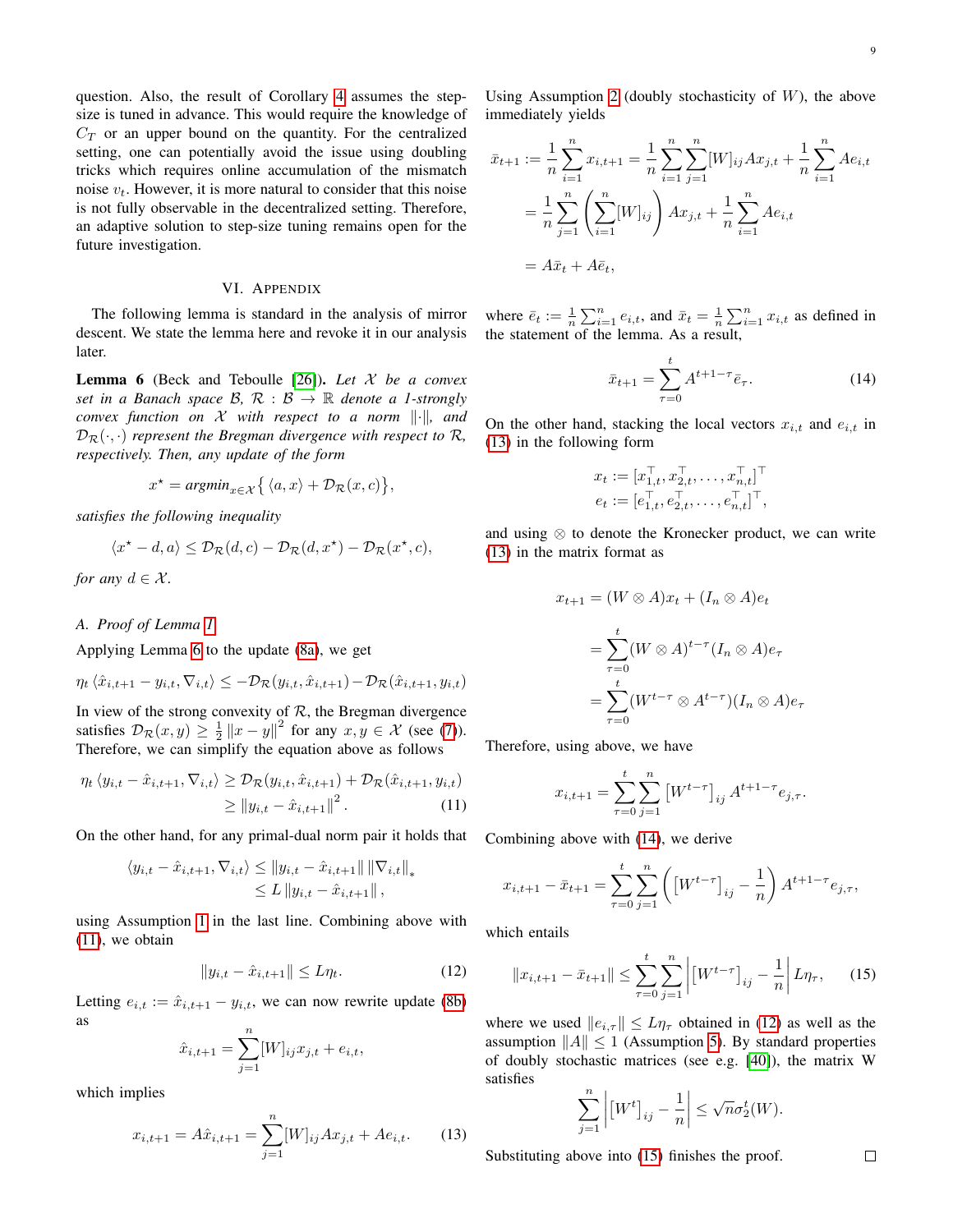question. Also, the result of Corollary [4](#page-5-1) assumes the stepsize is tuned in advance. This would require the knowledge of  $C_T$  or an upper bound on the quantity. For the centralized setting, one can potentially avoid the issue using doubling tricks which requires online accumulation of the mismatch noise  $v_t$ . However, it is more natural to consider that this noise is not fully observable in the decentralized setting. Therefore, an adaptive solution to step-size tuning remains open for the future investigation.

# VI. APPENDIX

<span id="page-8-0"></span>The following lemma is standard in the analysis of mirror descent. We state the lemma here and revoke it in our analysis later.

<span id="page-8-1"></span>Lemma 6 (Beck and Teboulle [\[26\]](#page-11-12)). *Let* X *be a convex set in a Banach space*  $\mathcal{B}, \mathcal{R} : \mathcal{B} \to \mathbb{R}$  *denote a 1-strongly convex function on*  $X$  *with respect to a norm*  $\|\cdot\|$ *, and*  $\mathcal{D}_{\mathcal{R}}(\cdot, \cdot)$  *represent the Bregman divergence with respect to*  $\mathcal{R}$ *, respectively. Then, any update of the form*

$$
x^\star = \textit{argmin}_{x \in \mathcal{X}} \big\{\, \langle a, x \rangle + \mathcal{D}_{\mathcal{R}}(x,c) \big\},
$$

*satisfies the following inequality*

$$
\langle x^* - d, a \rangle \leq \mathcal{D}_{\mathcal{R}}(d, c) - \mathcal{D}_{\mathcal{R}}(d, x^*) - \mathcal{D}_{\mathcal{R}}(x^*, c),
$$

*for any*  $d \in \mathcal{X}$ *.* 

*A. Proof of Lemma [1](#page-4-4)*

Applying Lemma [6](#page-8-1) to the update [\(8a\)](#page-2-1), we get

$$
\eta_t \langle \hat{x}_{i,t+1} - y_{i,t}, \nabla_{i,t} \rangle \le -\mathcal{D}_{\mathcal{R}}(y_{i,t}, \hat{x}_{i,t+1}) - \mathcal{D}_{\mathcal{R}}(\hat{x}_{i,t+1}, y_{i,t})
$$

In view of the strong convexity of  $R$ , the Bregman divergence satisfies  $\mathcal{D}_{\mathcal{R}}(x, y) \geq \frac{1}{2} ||x - y||^2$  for any  $x, y \in \mathcal{X}$  (see [\(7\)](#page-3-7)). Therefore, we can simplify the equation above as follows

$$
\eta_t \langle y_{i,t} - \hat{x}_{i,t+1}, \nabla_{i,t} \rangle \geq \mathcal{D}_{\mathcal{R}}(y_{i,t}, \hat{x}_{i,t+1}) + \mathcal{D}_{\mathcal{R}}(\hat{x}_{i,t+1}, y_{i,t})
$$
  
\n
$$
\geq ||y_{i,t} - \hat{x}_{i,t+1}||^2.
$$
 (11)

On the other hand, for any primal-dual norm pair it holds that

$$
\langle y_{i,t} - \hat{x}_{i,t+1}, \nabla_{i,t} \rangle \le ||y_{i,t} - \hat{x}_{i,t+1}|| ||\nabla_{i,t}||_*\le L ||y_{i,t} - \hat{x}_{i,t+1}||,
$$

using Assumption [1](#page-3-4) in the last line. Combining above with [\(11\)](#page-8-2), we obtain

$$
||y_{i,t} - \hat{x}_{i,t+1}|| \le L\eta_t.
$$
 (12)

Letting  $e_{i,t} := \hat{x}_{i,t+1} - y_{i,t}$ , we can now rewrite update [\(8b\)](#page-2-4) as

$$
\hat{x}_{i,t+1} = \sum_{j=1}^{n} [W]_{ij} x_{j,t} + e_{i,t},
$$

which implies

$$
x_{i,t+1} = A\hat{x}_{i,t+1} = \sum_{j=1}^{n} [W]_{ij} A x_{j,t} + A e_{i,t}.
$$
 (13)

Using Assumption [2](#page-3-3) (doubly stochasticity of  $W$ ), the above immediately yields

$$
\bar{x}_{t+1} := \frac{1}{n} \sum_{i=1}^{n} x_{i,t+1} = \frac{1}{n} \sum_{i=1}^{n} \sum_{j=1}^{n} [W]_{ij} A x_{j,t} + \frac{1}{n} \sum_{i=1}^{n} A e_{i,t}
$$

$$
= \frac{1}{n} \sum_{j=1}^{n} \left( \sum_{i=1}^{n} [W]_{ij} \right) A x_{j,t} + \frac{1}{n} \sum_{i=1}^{n} A e_{i,t}
$$

$$
= A \bar{x}_t + A \bar{e}_t,
$$

where  $\bar{e}_t := \frac{1}{n} \sum_{i=1}^n e_{i,t}$ , and  $\bar{x}_t = \frac{1}{n} \sum_{i=1}^n x_{i,t}$  as defined in the statement of the lemma. As a result,

<span id="page-8-4"></span>
$$
\bar{x}_{t+1} = \sum_{\tau=0}^{t} A^{t+1-\tau} \bar{e}_{\tau}.
$$
 (14)

On the other hand, stacking the local vectors  $x_{i,t}$  and  $e_{i,t}$  in [\(13\)](#page-8-3) in the following form

$$
x_t := [x_{1,t}^\top, x_{2,t}^\top, \dots, x_{n,t}^\top]^\top e_t := [e_{1,t}^\top, e_{2,t}^\top, \dots, e_{n,t}^\top]^\top,
$$

and using ⊗ to denote the Kronecker product, we can write [\(13\)](#page-8-3) in the matrix format as

$$
x_{t+1} = (W \otimes A)x_t + (I_n \otimes A)e_t
$$
  
= 
$$
\sum_{\tau=0}^t (W \otimes A)^{t-\tau} (I_n \otimes A)e_\tau
$$
  
= 
$$
\sum_{\tau=0}^t (W^{t-\tau} \otimes A^{t-\tau}) (I_n \otimes A)e_\tau
$$

<span id="page-8-2"></span>Therefore, using above, we have

$$
x_{i,t+1} = \sum_{\tau=0}^{t} \sum_{j=1}^{n} \left[ W^{t-\tau} \right]_{ij} A^{t+1-\tau} e_{j,\tau}.
$$

Combining above with [\(14\)](#page-8-4), we derive

$$
x_{i,t+1} - \bar{x}_{t+1} = \sum_{\tau=0}^{t} \sum_{j=1}^{n} \left( \left[ W^{t-\tau} \right]_{ij} - \frac{1}{n} \right) A^{t+1-\tau} e_{j,\tau},
$$

<span id="page-8-5"></span>which entails

$$
||x_{i,t+1} - \bar{x}_{t+1}|| \le \sum_{\tau=0}^{t} \sum_{j=1}^{n} \left| \left[W^{t-\tau}\right]_{ij} - \frac{1}{n} \right| L \eta_{\tau}, \qquad (15)
$$

where we used  $||e_{i,\tau}|| \le L\eta_{\tau}$  obtained in [\(12\)](#page-8-5) as well as the assumption  $||A|| \le 1$  (Assumption [5\)](#page-4-2). By standard properties of doubly stochastic matrices (see e.g. [\[40\]](#page-11-30)), the matrix W satisfies

$$
\sum_{j=1}^{n} \left| \left[W^t\right]_{ij} - \frac{1}{n} \right| \leq \sqrt{n} \sigma_2^t(W).
$$

<span id="page-8-3"></span>Substituting above into [\(15\)](#page-8-6) finishes the proof.

<span id="page-8-6"></span> $\Box$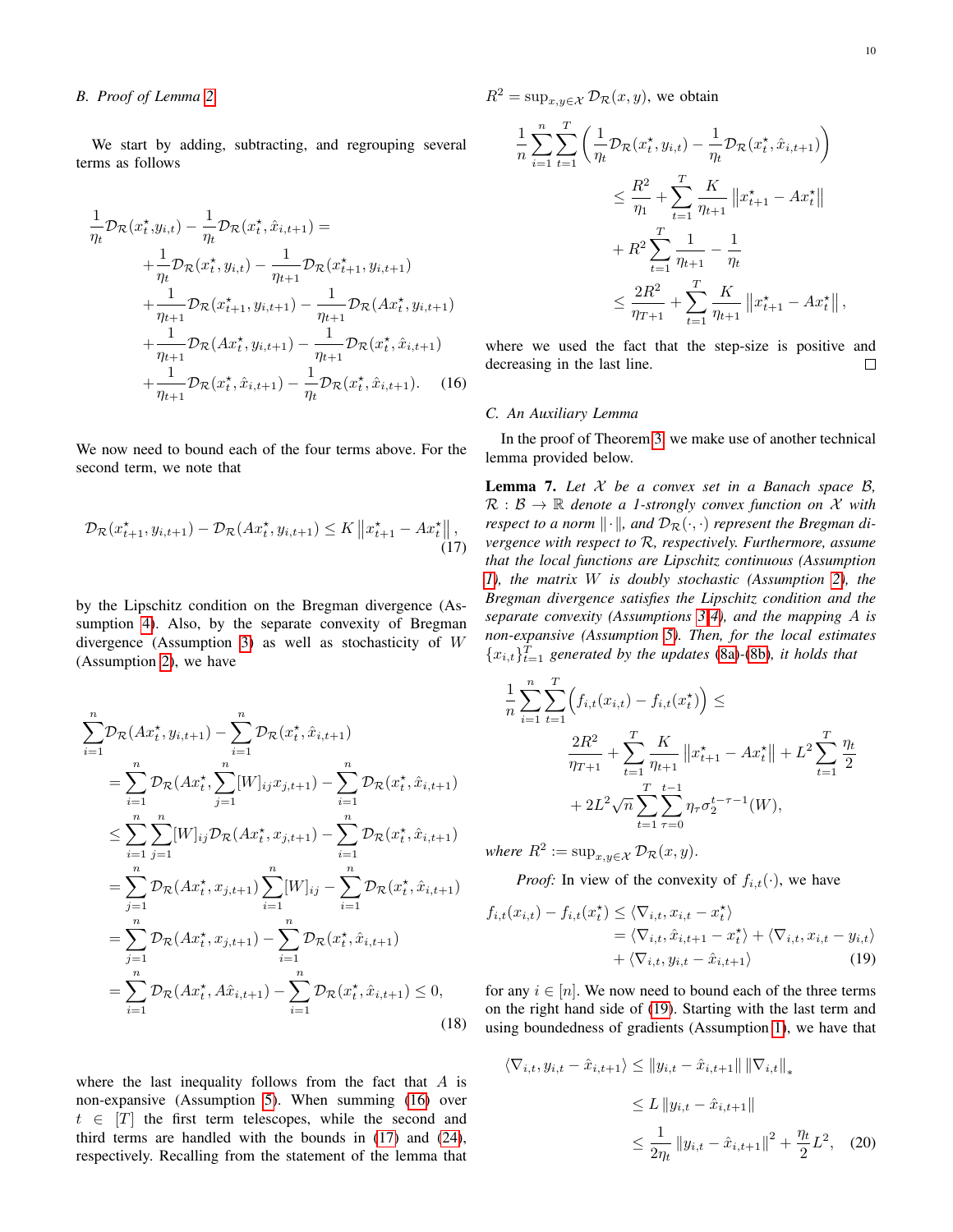# <span id="page-9-0"></span>*B. Proof of Lemma [2](#page-4-3)*

We start by adding, subtracting, and regrouping several terms as follows

$$
\frac{1}{\eta_t} \mathcal{D}_{\mathcal{R}}(x_t^{\star}, y_{i,t}) - \frac{1}{\eta_t} \mathcal{D}_{\mathcal{R}}(x_t^{\star}, \hat{x}_{i,t+1}) =
$$
\n
$$
+ \frac{1}{\eta_t} \mathcal{D}_{\mathcal{R}}(x_t^{\star}, y_{i,t}) - \frac{1}{\eta_{t+1}} \mathcal{D}_{\mathcal{R}}(x_{t+1}^{\star}, y_{i,t+1})
$$
\n
$$
+ \frac{1}{\eta_{t+1}} \mathcal{D}_{\mathcal{R}}(x_{t+1}^{\star}, y_{i,t+1}) - \frac{1}{\eta_{t+1}} \mathcal{D}_{\mathcal{R}}(Ax_t^{\star}, y_{i,t+1})
$$
\n
$$
+ \frac{1}{\eta_{t+1}} \mathcal{D}_{\mathcal{R}}(Ax_t^{\star}, y_{i,t+1}) - \frac{1}{\eta_{t+1}} \mathcal{D}_{\mathcal{R}}(x_t^{\star}, \hat{x}_{i,t+1})
$$
\n
$$
+ \frac{1}{\eta_{t+1}} \mathcal{D}_{\mathcal{R}}(x_t^{\star}, \hat{x}_{i,t+1}) - \frac{1}{\eta_t} \mathcal{D}_{\mathcal{R}}(x_t^{\star}, \hat{x}_{i,t+1}). \quad (16)
$$

We now need to bound each of the four terms above. For the second term, we note that

$$
\mathcal{D}_{\mathcal{R}}(x_{t+1}^{\star}, y_{i,t+1}) - \mathcal{D}_{\mathcal{R}}(Ax_{t}^{\star}, y_{i,t+1}) \leq K \left\| x_{t+1}^{\star} - Ax_{t}^{\star} \right\|, \tag{17}
$$

by the Lipschitz condition on the Bregman divergence (Assumption [4\)](#page-3-6). Also, by the separate convexity of Bregman divergence (Assumption [3\)](#page-3-5) as well as stochasticity of W (Assumption [2\)](#page-3-3), we have

$$
\sum_{i=1}^{n} \mathcal{D}_{\mathcal{R}}(Ax_t^*, y_{i,t+1}) - \sum_{i=1}^{n} \mathcal{D}_{\mathcal{R}}(x_t^*, \hat{x}_{i,t+1})
$$
\n
$$
= \sum_{i=1}^{n} \mathcal{D}_{\mathcal{R}}(Ax_t^*, \sum_{j=1}^{n} [W]_{ij} x_{j,t+1}) - \sum_{i=1}^{n} \mathcal{D}_{\mathcal{R}}(x_t^*, \hat{x}_{i,t+1})
$$
\n
$$
\leq \sum_{i=1}^{n} \sum_{j=1}^{n} [W]_{ij} \mathcal{D}_{\mathcal{R}}(Ax_t^*, x_{j,t+1}) - \sum_{i=1}^{n} \mathcal{D}_{\mathcal{R}}(x_t^*, \hat{x}_{i,t+1})
$$
\n
$$
= \sum_{j=1}^{n} \mathcal{D}_{\mathcal{R}}(Ax_t^*, x_{j,t+1}) \sum_{i=1}^{n} [W]_{ij} - \sum_{i=1}^{n} \mathcal{D}_{\mathcal{R}}(x_t^*, \hat{x}_{i,t+1})
$$
\n
$$
= \sum_{j=1}^{n} \mathcal{D}_{\mathcal{R}}(Ax_t^*, x_{j,t+1}) - \sum_{i=1}^{n} \mathcal{D}_{\mathcal{R}}(x_t^*, \hat{x}_{i,t+1})
$$
\n
$$
= \sum_{i=1}^{n} \mathcal{D}_{\mathcal{R}}(Ax_t^*, A\hat{x}_{i,t+1}) - \sum_{i=1}^{n} \mathcal{D}_{\mathcal{R}}(x_t^*, \hat{x}_{i,t+1}) \leq 0,
$$
\n(18)

where the last inequality follows from the fact that  $A$  is non-expansive (Assumption [5\)](#page-4-2). When summing [\(16\)](#page-9-0) over  $t \in [T]$  the first term telescopes, while the second and third terms are handled with the bounds in [\(17\)](#page-9-1) and [\(24\)](#page-10-0), respectively. Recalling from the statement of the lemma that  $R^2 = \sup_{x,y \in \mathcal{X}} \mathcal{D}_{\mathcal{R}}(x,y)$ , we obtain

$$
\frac{1}{n} \sum_{i=1}^{n} \sum_{t=1}^{T} \left( \frac{1}{\eta_t} \mathcal{D}_{\mathcal{R}}(x_t^{\star}, y_{i,t}) - \frac{1}{\eta_t} \mathcal{D}_{\mathcal{R}}(x_t^{\star}, \hat{x}_{i,t+1}) \right)
$$
\n
$$
\leq \frac{R^2}{\eta_1} + \sum_{t=1}^{T} \frac{K}{\eta_{t+1}} ||x_{t+1}^{\star} - Ax_t^{\star}||
$$
\n
$$
+ R^2 \sum_{t=1}^{T} \frac{1}{\eta_{t+1}} - \frac{1}{\eta_t}
$$
\n
$$
\leq \frac{2R^2}{\eta_{T+1}} + \sum_{t=1}^{T} \frac{K}{\eta_{t+1}} ||x_{t+1}^{\star} - Ax_t^{\star}||,
$$

where we used the fact that the step-size is positive and decreasing in the last line.  $\Box$ 

#### *C. An Auxiliary Lemma*

In the proof of Theorem [3,](#page-5-0) we make use of another technical lemma provided below.

<span id="page-9-2"></span><span id="page-9-1"></span>Lemma 7. *Let* X *be a convex set in a Banach space* B*,*  $\mathcal{R}: \mathcal{B} \to \mathbb{R}$  *denote a 1-strongly convex function on* X *with respect to a norm*  $\|\cdot\|$ *, and*  $\mathcal{D}_{\mathcal{R}}(\cdot, \cdot)$  *represent the Bregman divergence with respect to* R*, respectively. Furthermore, assume that the local functions are Lipschitz continuous (Assumption [1\)](#page-3-4), the matrix* W *is doubly stochastic (Assumption [2\)](#page-3-3), the Bregman divergence satisfies the Lipschitz condition and the separate convexity (Assumptions [3](#page-3-5)[-4\)](#page-3-6), and the mapping* A *is non-expansive (Assumption [5\)](#page-4-2). Then, for the local estimates*  ${x_{i,t}}}_{t=1}^T$  generated by the updates [\(8a\)](#page-2-1)-[\(8b\)](#page-2-4), it holds that

$$
\frac{1}{n} \sum_{i=1}^{n} \sum_{t=1}^{T} \left( f_{i,t}(x_{i,t}) - f_{i,t}(x_t^{\star}) \right) \le
$$
\n
$$
\frac{2R^2}{\eta_{T+1}} + \sum_{t=1}^{T} \frac{K}{\eta_{t+1}} ||x_{t+1}^{\star} - Ax_t^{\star}|| + L^2 \sum_{t=1}^{T} \frac{\eta_t}{2}
$$
\n
$$
+ 2L^2 \sqrt{n} \sum_{t=1}^{T} \sum_{\tau=0}^{t-1} \eta_{\tau} \sigma_2^{t-\tau-1}(W),
$$

*where*  $R^2 := \sup_{x,y \in \mathcal{X}} \mathcal{D}_{\mathcal{R}}(x,y)$ .

*Proof:* In view of the convexity of  $f_{i,t}(\cdot)$ , we have

$$
f_{i,t}(x_{i,t}) - f_{i,t}(x_t^*) \le \langle \nabla_{i,t}, x_{i,t} - x_t^* \rangle
$$
  
=  $\langle \nabla_{i,t}, \hat{x}_{i,t+1} - x_t^* \rangle + \langle \nabla_{i,t}, x_{i,t} - y_{i,t} \rangle$   
+  $\langle \nabla_{i,t}, y_{i,t} - \hat{x}_{i,t+1} \rangle$  (19)

for any  $i \in [n]$ . We now need to bound each of the three terms on the right hand side of [\(19\)](#page-9-2). Starting with the last term and using boundedness of gradients (Assumption [1\)](#page-3-4), we have that

$$
\langle \nabla_{i,t}, y_{i,t} - \hat{x}_{i,t+1} \rangle \le ||y_{i,t} - \hat{x}_{i,t+1}|| ||\nabla_{i,t}||_*
$$
  
\n
$$
\le L ||y_{i,t} - \hat{x}_{i,t+1}||
$$
  
\n
$$
\le \frac{1}{2\eta_t} ||y_{i,t} - \hat{x}_{i,t+1}||^2 + \frac{\eta_t}{2}L^2, \quad (20)
$$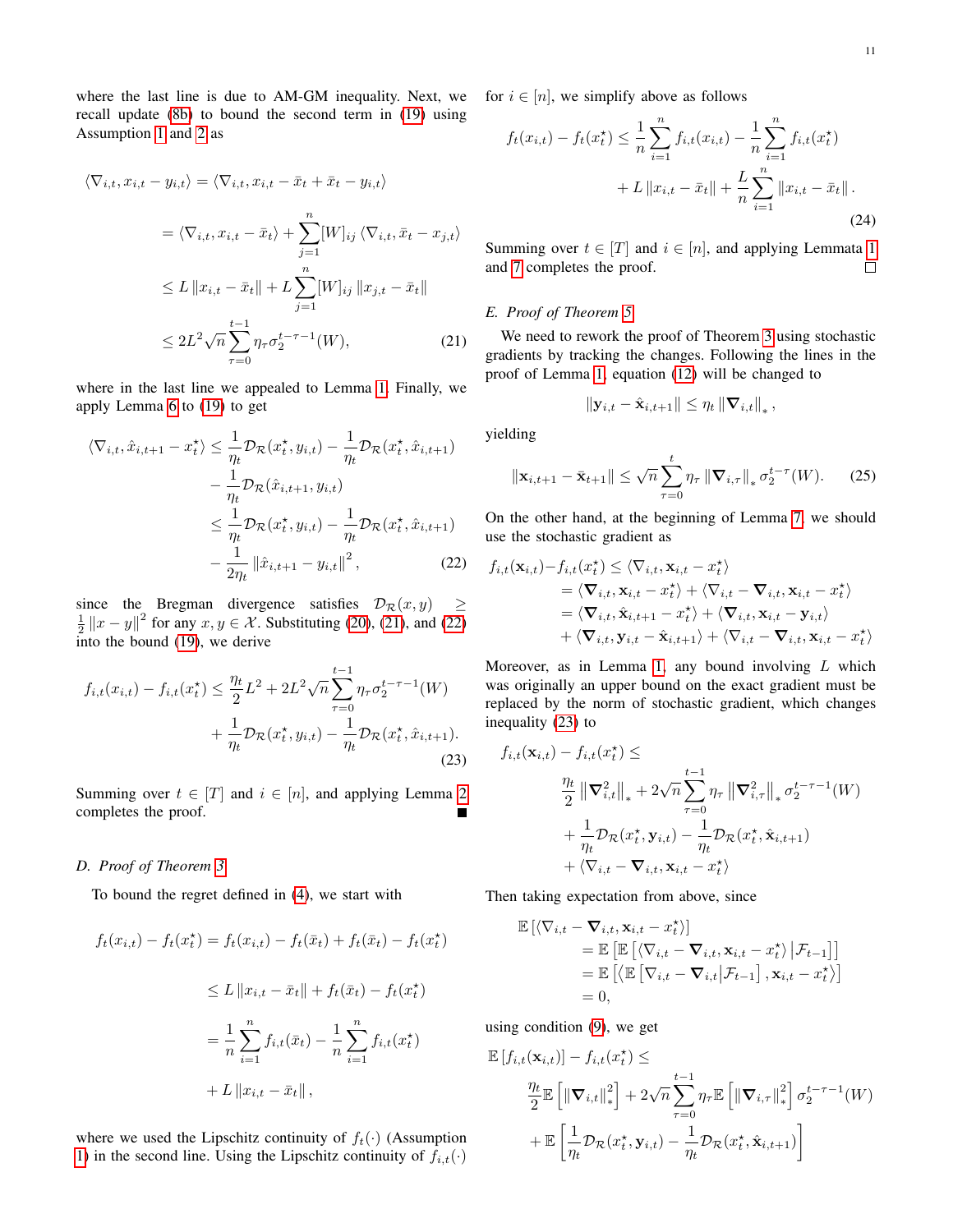where the last line is due to AM-GM inequality. Next, we recall update [\(8b\)](#page-2-4) to bound the second term in [\(19\)](#page-9-2) using Assumption [1](#page-3-4) and [2](#page-3-3) as

$$
\langle \nabla_{i,t}, x_{i,t} - y_{i,t} \rangle = \langle \nabla_{i,t}, x_{i,t} - \bar{x}_t + \bar{x}_t - y_{i,t} \rangle
$$
  
\n
$$
= \langle \nabla_{i,t}, x_{i,t} - \bar{x}_t \rangle + \sum_{j=1}^n [W]_{ij} \langle \nabla_{i,t}, \bar{x}_t - x_{j,t} \rangle
$$
  
\n
$$
\leq L \|x_{i,t} - \bar{x}_t\| + L \sum_{j=1}^n [W]_{ij} \|x_{j,t} - \bar{x}_t\|
$$
  
\n
$$
\leq 2L^2 \sqrt{n} \sum_{\tau=0}^{t-1} \eta_\tau \sigma_2^{t-\tau-1}(W), \qquad (21)
$$

where in the last line we appealed to Lemma [1.](#page-4-4) Finally, we apply Lemma [6](#page-8-1) to [\(19\)](#page-9-2) to get

$$
\langle \nabla_{i,t}, \hat{x}_{i,t+1} - x_t^{\star} \rangle \leq \frac{1}{\eta_t} \mathcal{D}_{\mathcal{R}}(x_t^{\star}, y_{i,t}) - \frac{1}{\eta_t} \mathcal{D}_{\mathcal{R}}(x_t^{\star}, \hat{x}_{i,t+1})
$$

$$
- \frac{1}{\eta_t} \mathcal{D}_{\mathcal{R}}(\hat{x}_{i,t+1}, y_{i,t})
$$

$$
\leq \frac{1}{\eta_t} \mathcal{D}_{\mathcal{R}}(x_t^{\star}, y_{i,t}) - \frac{1}{\eta_t} \mathcal{D}_{\mathcal{R}}(x_t^{\star}, \hat{x}_{i,t+1})
$$

$$
- \frac{1}{2\eta_t} ||\hat{x}_{i,t+1} - y_{i,t}||^2, \qquad (22)
$$

since the Bregman divergence satisfies  $\mathcal{D}_{\mathcal{R}}(x, y) \geq$  $\frac{1}{2} \|x - y\|^2$  for any  $x, y \in \mathcal{X}$ . Substituting [\(20\)](#page-9-2), [\(21\)](#page-9-2), and [\(22\)](#page-9-2) into the bound [\(19\)](#page-9-2), we derive

$$
f_{i,t}(x_{i,t}) - f_{i,t}(x_t^*) \le \frac{\eta_t}{2} L^2 + 2L^2 \sqrt{n} \sum_{\tau=0}^{t-1} \eta_\tau \sigma_2^{t-\tau-1}(W) + \frac{1}{\eta_t} \mathcal{D}_\mathcal{R}(x_t^*, y_{i,t}) - \frac{1}{\eta_t} \mathcal{D}_\mathcal{R}(x_t^*, \hat{x}_{i,t+1}).
$$
\n(23)

Summing over  $t \in [T]$  and  $i \in [n]$ , and applying Lemma [2](#page-4-3) completes the proof. Г

### <span id="page-10-0"></span>*D. Proof of Theorem [3](#page-5-0)*

To bound the regret defined in [\(4\)](#page-2-3), we start with

$$
f_t(x_{i,t}) - f_t(x_t^*) = f_t(x_{i,t}) - f_t(\bar{x}_t) + f_t(\bar{x}_t) - f_t(x_t^*)
$$
  
\n
$$
\leq L \|x_{i,t} - \bar{x}_t\| + f_t(\bar{x}_t) - f_t(x_t^*)
$$
  
\n
$$
= \frac{1}{n} \sum_{i=1}^n f_{i,t}(\bar{x}_t) - \frac{1}{n} \sum_{i=1}^n f_{i,t}(x_t^*)
$$
  
\n
$$
+ L \|x_{i,t} - \bar{x}_t\|,
$$

where we used the Lipschitz continuity of  $f_t(\cdot)$  (Assumption [1\)](#page-3-4) in the second line. Using the Lipschitz continuity of  $f_{i,t}(\cdot)$  for  $i \in [n]$ , we simplify above as follows

$$
f_t(x_{i,t}) - f_t(x_t^*) \le \frac{1}{n} \sum_{i=1}^n f_{i,t}(x_{i,t}) - \frac{1}{n} \sum_{i=1}^n f_{i,t}(x_t^*)
$$
  
+ 
$$
L \|x_{i,t} - \bar{x}_t\| + \frac{L}{n} \sum_{i=1}^n \|x_{i,t} - \bar{x}_t\|.
$$
 (24)

Summing over  $t \in [T]$  and  $i \in [n]$ , and applying Lemmata [1](#page-4-4) and [7](#page-9-2) completes the proof.  $\Box$ 

# *E. Proof of Theorem [5](#page-5-6)*

We need to rework the proof of Theorem [3](#page-5-0) using stochastic gradients by tracking the changes. Following the lines in the proof of Lemma [1,](#page-4-4) equation [\(12\)](#page-8-5) will be changed to

$$
\|\mathbf{y}_{i,t} - \hat{\mathbf{x}}_{i,t+1}\| \leq \eta_t \left\| \mathbf{\nabla}_{i,t} \right\|_*,
$$

yielding

$$
\|\mathbf{x}_{i,t+1} - \bar{\mathbf{x}}_{t+1}\| \leq \sqrt{n} \sum_{\tau=0}^{t} \eta_{\tau} \|\nabla_{i,\tau}\|_{*} \sigma_{2}^{t-\tau}(W). \qquad (25)
$$

On the other hand, at the beginning of Lemma [7,](#page-9-2) we should use the stochastic gradient as

$$
f_{i,t}(\mathbf{x}_{i,t})-f_{i,t}(x_t^{\star}) \leq \langle \nabla_{i,t}, \mathbf{x}_{i,t} - x_t^{\star} \rangle
$$
  
\n
$$
= \langle \nabla_{i,t}, \mathbf{x}_{i,t} - x_t^{\star} \rangle + \langle \nabla_{i,t} - \nabla_{i,t}, \mathbf{x}_{i,t} - x_t^{\star} \rangle
$$
  
\n
$$
= \langle \nabla_{i,t}, \hat{\mathbf{x}}_{i,t+1} - x_t^{\star} \rangle + \langle \nabla_{i,t}, \mathbf{x}_{i,t} - \mathbf{y}_{i,t} \rangle
$$
  
\n
$$
+ \langle \nabla_{i,t}, \mathbf{y}_{i,t} - \hat{\mathbf{x}}_{i,t+1} \rangle + \langle \nabla_{i,t} - \nabla_{i,t}, \mathbf{x}_{i,t} - x_t^{\star} \rangle
$$

Moreover, as in Lemma [1,](#page-4-4) any bound involving  $L$  which was originally an upper bound on the exact gradient must be replaced by the norm of stochastic gradient, which changes inequality [\(23\)](#page-9-2) to

$$
f_{i,t}(\mathbf{x}_{i,t}) - f_{i,t}(x_t^*) \le
$$
  

$$
\frac{\eta_t}{2} \left\| \mathbf{\nabla}_{i,t}^2 \right\|_* + 2\sqrt{n} \sum_{\tau=0}^{t-1} \eta_{\tau} \left\| \mathbf{\nabla}_{i,\tau}^2 \right\|_* \sigma_2^{t-\tau-1}(W)
$$
  

$$
+ \frac{1}{\eta_t} \mathcal{D}_{\mathcal{R}}(x_t^*, \mathbf{y}_{i,t}) - \frac{1}{\eta_t} \mathcal{D}_{\mathcal{R}}(x_t^*, \hat{\mathbf{x}}_{i,t+1})
$$
  

$$
+ \langle \nabla_{i,t} - \mathbf{\nabla}_{i,t}, \mathbf{x}_{i,t} - x_t^* \rangle
$$

Then taking expectation from above, since

$$
\mathbb{E}\left[\left\langle \nabla_{i,t} - \nabla_{i,t}, \mathbf{x}_{i,t} - x_t^{\star} \right\rangle\right] \n= \mathbb{E}\left[\mathbb{E}\left[\left\langle \nabla_{i,t} - \nabla_{i,t}, \mathbf{x}_{i,t} - x_t^{\star} \right\rangle \middle| \mathcal{F}_{t-1}\right]\right] \n= \mathbb{E}\left[\left\langle \mathbb{E}\left[\nabla_{i,t} - \nabla_{i,t} \middle| \mathcal{F}_{t-1}\right], \mathbf{x}_{i,t} - x_t^{\star} \right\rangle\right] \n= 0,
$$

using condition [\(9\)](#page-5-4), we get

$$
\mathbb{E}\left[f_{i,t}(\mathbf{x}_{i,t})\right] - f_{i,t}(x_t^*) \le
$$
\n
$$
\frac{\eta_t}{2} \mathbb{E}\left[\left\|\nabla_{i,t}\right\|_{*}^{2}\right] + 2\sqrt{n} \sum_{\tau=0}^{t-1} \eta_{\tau} \mathbb{E}\left[\left\|\nabla_{i,\tau}\right\|_{*}^{2}\right] \sigma_2^{t-\tau-1}(W)
$$
\n
$$
+ \mathbb{E}\left[\frac{1}{\eta_t} \mathcal{D}_{\mathcal{R}}(x_t^*, \mathbf{y}_{i,t}) - \frac{1}{\eta_t} \mathcal{D}_{\mathcal{R}}(x_t^*, \hat{\mathbf{x}}_{i,t+1})\right]
$$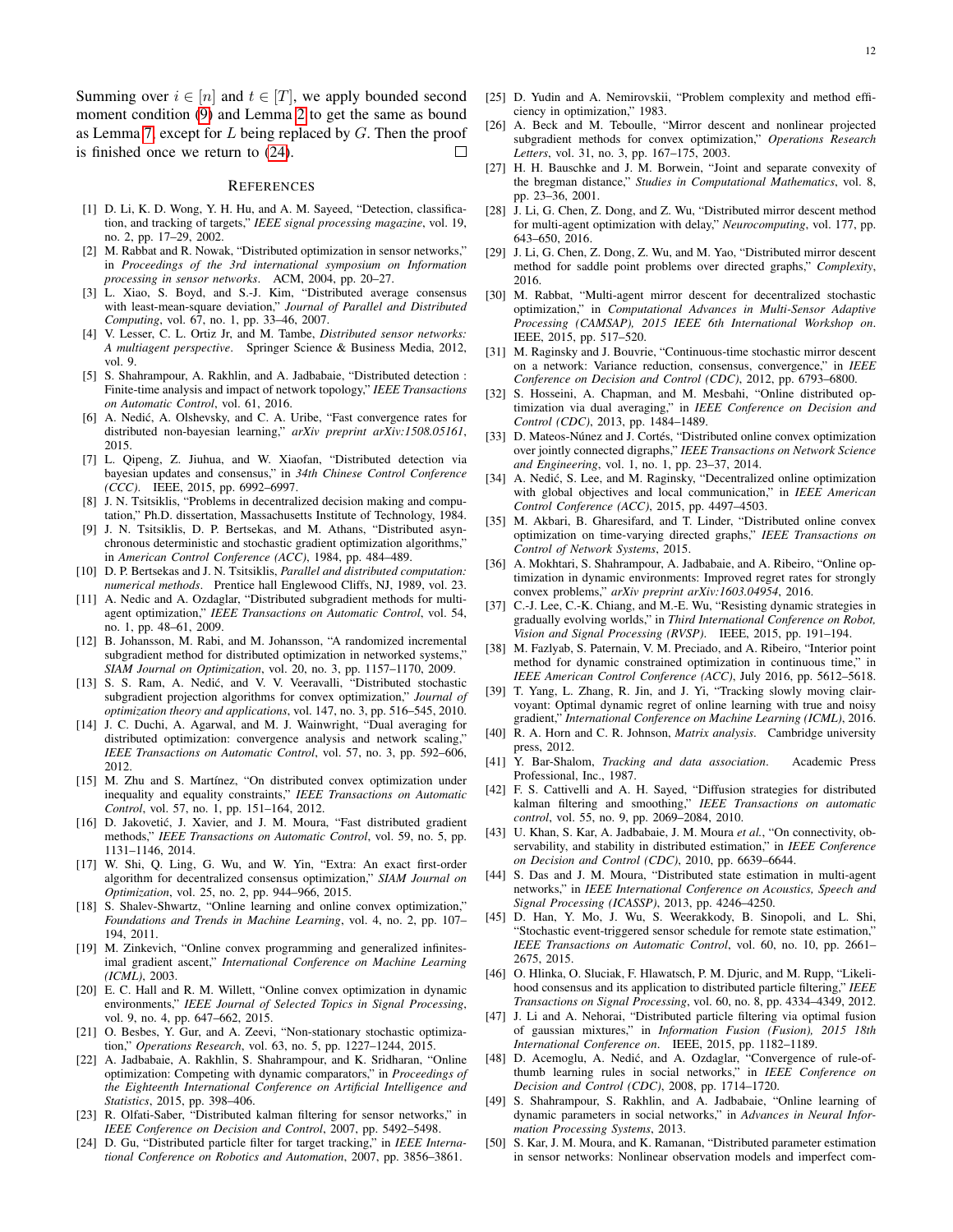Summing over  $i \in [n]$  and  $t \in [T]$ , we apply bounded second moment condition [\(9\)](#page-5-4) and Lemma [2](#page-4-3) to get the same as bound as Lemma [7,](#page-9-2) except for  $L$  being replaced by  $G$ . Then the proof is finished once we return to [\(24\)](#page-10-0).

# **REFERENCES**

- <span id="page-11-0"></span>[1] D. Li, K. D. Wong, Y. H. Hu, and A. M. Sayeed, "Detection, classification, and tracking of targets," *IEEE signal processing magazine*, vol. 19, no. 2, pp. 17–29, 2002.
- [2] M. Rabbat and R. Nowak, "Distributed optimization in sensor networks," in *Proceedings of the 3rd international symposium on Information processing in sensor networks*. ACM, 2004, pp. 20–27.
- [3] L. Xiao, S. Boyd, and S.-J. Kim, "Distributed average consensus with least-mean-square deviation," *Journal of Parallel and Distributed Computing*, vol. 67, no. 1, pp. 33–46, 2007.
- [4] V. Lesser, C. L. Ortiz Jr, and M. Tambe, *Distributed sensor networks: A multiagent perspective*. Springer Science & Business Media, 2012, vol. 9.
- [5] S. Shahrampour, A. Rakhlin, and A. Jadbabaie, "Distributed detection : Finite-time analysis and impact of network topology," *IEEE Transactions on Automatic Control*, vol. 61, 2016.
- [6] A. Nedić, A. Olshevsky, and C. A. Uribe, "Fast convergence rates for distributed non-bayesian learning," *arXiv preprint arXiv:1508.05161*, 2015.
- <span id="page-11-1"></span>[7] L. Qipeng, Z. Jiuhua, and W. Xiaofan, "Distributed detection via bayesian updates and consensus," in *34th Chinese Control Conference (CCC)*. IEEE, 2015, pp. 6992–6997.
- <span id="page-11-2"></span>[8] J. N. Tsitsiklis, "Problems in decentralized decision making and computation," Ph.D. dissertation, Massachusetts Institute of Technology, 1984.
- [9] J. N. Tsitsiklis, D. P. Bertsekas, and M. Athans, "Distributed asynchronous deterministic and stochastic gradient optimization algorithms," in *American Control Conference (ACC)*, 1984, pp. 484–489.
- <span id="page-11-3"></span>[10] D. P. Bertsekas and J. N. Tsitsiklis, *Parallel and distributed computation*: *numerical methods*. Prentice hall Englewood Cliffs, NJ, 1989, vol. 23.
- <span id="page-11-4"></span>[11] A. Nedic and A. Ozdaglar, "Distributed subgradient methods for multiagent optimization," *IEEE Transactions on Automatic Control*, vol. 54, no. 1, pp. 48–61, 2009.
- [12] B. Johansson, M. Rabi, and M. Johansson, "A randomized incremental subgradient method for distributed optimization in networked systems," *SIAM Journal on Optimization*, vol. 20, no. 3, pp. 1157–1170, 2009.
- <span id="page-11-14"></span>[13] S. S. Ram, A. Nedić, and V. V. Veeravalli, "Distributed stochastic subgradient projection algorithms for convex optimization," *Journal of optimization theory and applications*, vol. 147, no. 3, pp. 516–545, 2010.
- <span id="page-11-19"></span>[14] J. C. Duchi, A. Agarwal, and M. J. Wainwright, "Dual averaging for distributed optimization: convergence analysis and network scaling, *IEEE Transactions on Automatic Control*, vol. 57, no. 3, pp. 592–606, 2012.
- [15] M. Zhu and S. Martínez, "On distributed convex optimization under inequality and equality constraints," *IEEE Transactions on Automatic Control*, vol. 57, no. 1, pp. 151–164, 2012.
- [16] D. Jakovetić, J. Xavier, and J. M. Moura, "Fast distributed gradient methods," *IEEE Transactions on Automatic Control*, vol. 59, no. 5, pp. 1131–1146, 2014.
- <span id="page-11-5"></span>[17] W. Shi, Q. Ling, G. Wu, and W. Yin, "Extra: An exact first-order algorithm for decentralized consensus optimization," *SIAM Journal on Optimization*, vol. 25, no. 2, pp. 944–966, 2015.
- <span id="page-11-6"></span>[18] S. Shalev-Shwartz, "Online learning and online convex optimization," *Foundations and Trends in Machine Learning*, vol. 4, no. 2, pp. 107– 194, 2011.
- <span id="page-11-7"></span>[19] M. Zinkevich, "Online convex programming and generalized infinitesimal gradient ascent," *International Conference on Machine Learning (ICML)*, 2003.
- <span id="page-11-24"></span>[20] E. C. Hall and R. M. Willett, "Online convex optimization in dynamic environments," *IEEE Journal of Selected Topics in Signal Processing*, vol. 9, no. 4, pp. 647–662, 2015.
- <span id="page-11-25"></span>[21] O. Besbes, Y. Gur, and A. Zeevi, "Non-stationary stochastic optimization," *Operations Research*, vol. 63, no. 5, pp. 1227–1244, 2015.
- <span id="page-11-8"></span>[22] A. Jadbabaie, A. Rakhlin, S. Shahrampour, and K. Sridharan, "Online optimization: Competing with dynamic comparators," in *Proceedings of the Eighteenth International Conference on Artificial Intelligence and Statistics*, 2015, pp. 398–406.
- <span id="page-11-9"></span>[23] R. Olfati-Saber, "Distributed kalman filtering for sensor networks," in *IEEE Conference on Decision and Control*, 2007, pp. 5492–5498.
- <span id="page-11-10"></span>[24] D. Gu, "Distributed particle filter for target tracking," in *IEEE International Conference on Robotics and Automation*, 2007, pp. 3856–3861.
- <span id="page-11-11"></span>[25] D. Yudin and A. Nemirovskii, "Problem complexity and method efficiency in optimization," 1983.
- <span id="page-11-12"></span>[26] A. Beck and M. Teboulle, "Mirror descent and nonlinear projected subgradient methods for convex optimization," *Operations Research Letters*, vol. 31, no. 3, pp. 167–175, 2003.
- <span id="page-11-13"></span>[27] H. H. Bauschke and J. M. Borwein, "Joint and separate convexity of the bregman distance," *Studies in Computational Mathematics*, vol. 8, pp. 23–36, 2001.
- <span id="page-11-15"></span>[28] J. Li, G. Chen, Z. Dong, and Z. Wu, "Distributed mirror descent method for multi-agent optimization with delay," *Neurocomputing*, vol. 177, pp. 643–650, 2016.
- <span id="page-11-16"></span>[29] J. Li, G. Chen, Z. Dong, Z. Wu, and M. Yao, "Distributed mirror descent method for saddle point problems over directed graphs," *Complexity*, 2016.
- <span id="page-11-17"></span>[30] M. Rabbat, "Multi-agent mirror descent for decentralized stochastic optimization," in *Computational Advances in Multi-Sensor Adaptive Processing (CAMSAP), 2015 IEEE 6th International Workshop on*. IEEE, 2015, pp. 517–520.
- <span id="page-11-18"></span>[31] M. Raginsky and J. Bouvrie, "Continuous-time stochastic mirror descent on a network: Variance reduction, consensus, convergence," in *IEEE Conference on Decision and Control (CDC)*, 2012, pp. 6793–6800.
- <span id="page-11-20"></span>[32] S. Hosseini, A. Chapman, and M. Mesbahi, "Online distributed optimization via dual averaging," in *IEEE Conference on Decision and Control (CDC)*, 2013, pp. 1484–1489.
- <span id="page-11-21"></span>[33] D. Mateos-Núnez and J. Cortés, "Distributed online convex optimization over jointly connected digraphs," *IEEE Transactions on Network Science and Engineering*, vol. 1, no. 1, pp. 23–37, 2014.
- <span id="page-11-22"></span>[34] A. Nedić, S. Lee, and M. Raginsky, "Decentralized online optimization with global objectives and local communication," in *IEEE American Control Conference (ACC)*, 2015, pp. 4497–4503.
- <span id="page-11-23"></span>[35] M. Akbari, B. Gharesifard, and T. Linder, "Distributed online convex optimization on time-varying directed graphs," *IEEE Transactions on Control of Network Systems*, 2015.
- <span id="page-11-26"></span>[36] A. Mokhtari, S. Shahrampour, A. Jadbabaie, and A. Ribeiro, "Online optimization in dynamic environments: Improved regret rates for strongly convex problems," *arXiv preprint arXiv:1603.04954*, 2016.
- <span id="page-11-27"></span>[37] C.-J. Lee, C.-K. Chiang, and M.-E. Wu, "Resisting dynamic strategies in gradually evolving worlds," in *Third International Conference on Robot, Vision and Signal Processing (RVSP)*. IEEE, 2015, pp. 191–194.
- <span id="page-11-28"></span>[38] M. Fazlyab, S. Paternain, V. M. Preciado, and A. Ribeiro, "Interior point method for dynamic constrained optimization in continuous time," in *IEEE American Control Conference (ACC)*, July 2016, pp. 5612–5618.
- <span id="page-11-29"></span>[39] T. Yang, L. Zhang, R. Jin, and J. Yi, "Tracking slowly moving clairvoyant: Optimal dynamic regret of online learning with true and noisy gradient," *International Conference on Machine Learning (ICML)*, 2016.
- <span id="page-11-30"></span>[40] R. A. Horn and C. R. Johnson, *Matrix analysis*. Cambridge university press, 2012.
- <span id="page-11-31"></span>[41] Y. Bar-Shalom, *Tracking and data association*. Academic Press Professional, Inc., 1987.
- <span id="page-11-32"></span>[42] F. S. Cattivelli and A. H. Sayed, "Diffusion strategies for distributed kalman filtering and smoothing," *IEEE Transactions on automatic control*, vol. 55, no. 9, pp. 2069–2084, 2010.
- <span id="page-11-33"></span>[43] U. Khan, S. Kar, A. Jadbabaie, J. M. Moura *et al.*, "On connectivity, observability, and stability in distributed estimation," in *IEEE Conference on Decision and Control (CDC)*, 2010, pp. 6639–6644.
- [44] S. Das and J. M. Moura, "Distributed state estimation in multi-agent networks," in *IEEE International Conference on Acoustics, Speech and Signal Processing (ICASSP)*, 2013, pp. 4246–4250.
- <span id="page-11-34"></span>[45] D. Han, Y. Mo, J. Wu, S. Weerakkody, B. Sinopoli, and L. Shi, "Stochastic event-triggered sensor schedule for remote state estimation," *IEEE Transactions on Automatic Control*, vol. 60, no. 10, pp. 2661– 2675, 2015.
- <span id="page-11-35"></span>[46] O. Hlinka, O. Sluciak, F. Hlawatsch, P. M. Djuric, and M. Rupp, "Likelihood consensus and its application to distributed particle filtering," *IEEE Transactions on Signal Processing*, vol. 60, no. 8, pp. 4334–4349, 2012.
- <span id="page-11-36"></span>[47] J. Li and A. Nehorai, "Distributed particle filtering via optimal fusion of gaussian mixtures," in *Information Fusion (Fusion), 2015 18th International Conference on*. IEEE, 2015, pp. 1182–1189.
- <span id="page-11-37"></span>[48] D. Acemoglu, A. Nedić, and A. Ozdaglar, "Convergence of rule-ofthumb learning rules in social networks," in *IEEE Conference on Decision and Control (CDC)*, 2008, pp. 1714–1720.
- [49] S. Shahrampour, S. Rakhlin, and A. Jadbabaie, "Online learning of dynamic parameters in social networks," in *Advances in Neural Information Processing Systems*, 2013.
- <span id="page-11-38"></span>[50] S. Kar, J. M. Moura, and K. Ramanan, "Distributed parameter estimation in sensor networks: Nonlinear observation models and imperfect com-